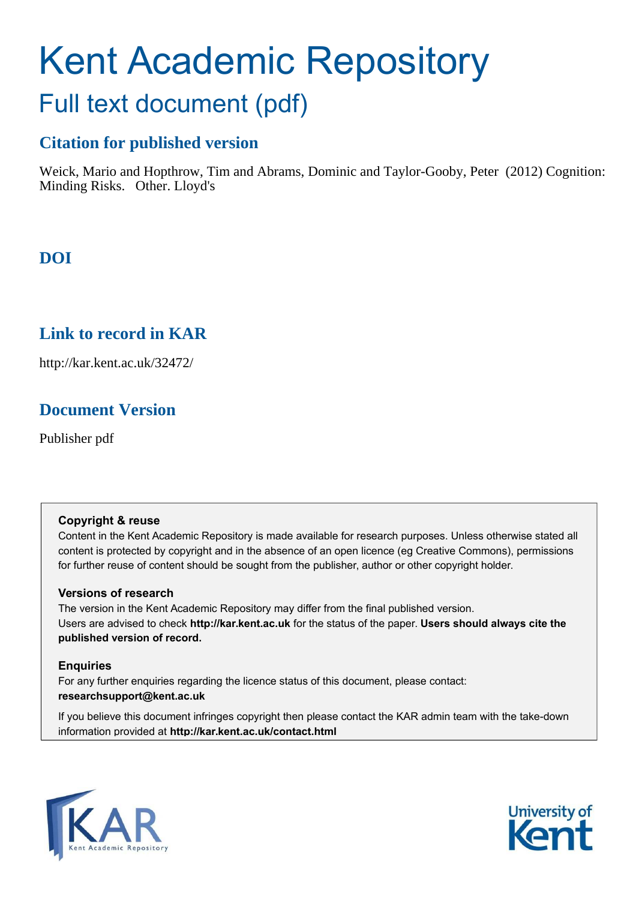# Kent Academic Repository Full text document (pdf)

### **Citation for published version**

Weick, Mario and Hopthrow, Tim and Abrams, Dominic and Taylor-Gooby, Peter (2012) Cognition: Minding Risks. Other. Lloyd's

### **DOI**

### **Link to record in KAR**

http://kar.kent.ac.uk/32472/

### **Document Version**

Publisher pdf

#### **Copyright & reuse**

Content in the Kent Academic Repository is made available for research purposes. Unless otherwise stated all content is protected by copyright and in the absence of an open licence (eg Creative Commons), permissions for further reuse of content should be sought from the publisher, author or other copyright holder.

#### **Versions of research**

The version in the Kent Academic Repository may differ from the final published version. Users are advised to check **http://kar.kent.ac.uk** for the status of the paper. **Users should always cite the published version of record.**

#### **Enquiries**

For any further enquiries regarding the licence status of this document, please contact: **researchsupport@kent.ac.uk**

If you believe this document infringes copyright then please contact the KAR admin team with the take-down information provided at **http://kar.kent.ac.uk/contact.html**



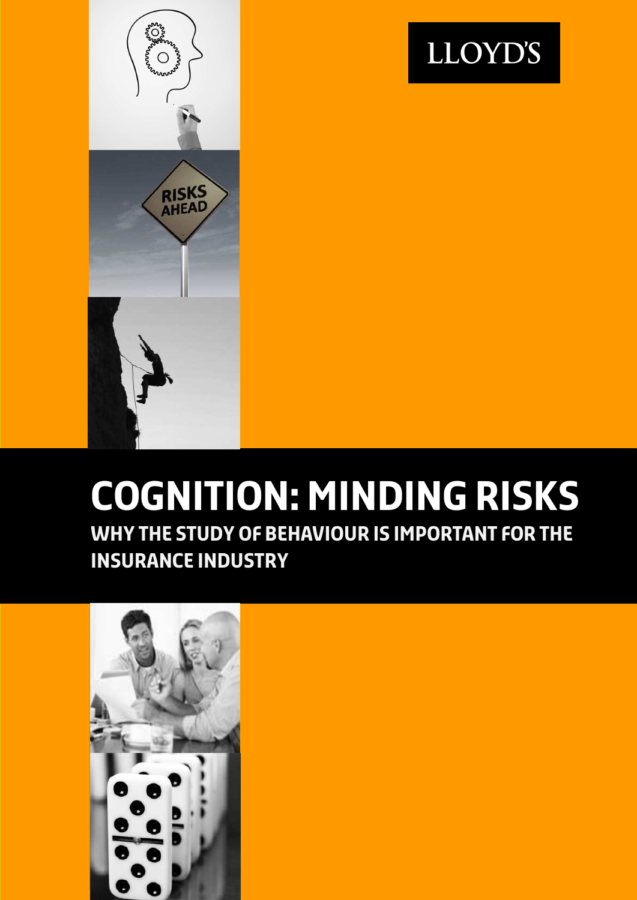



# **Cognition: Minding risks Why the study of behaviour is important for the insurance industry**

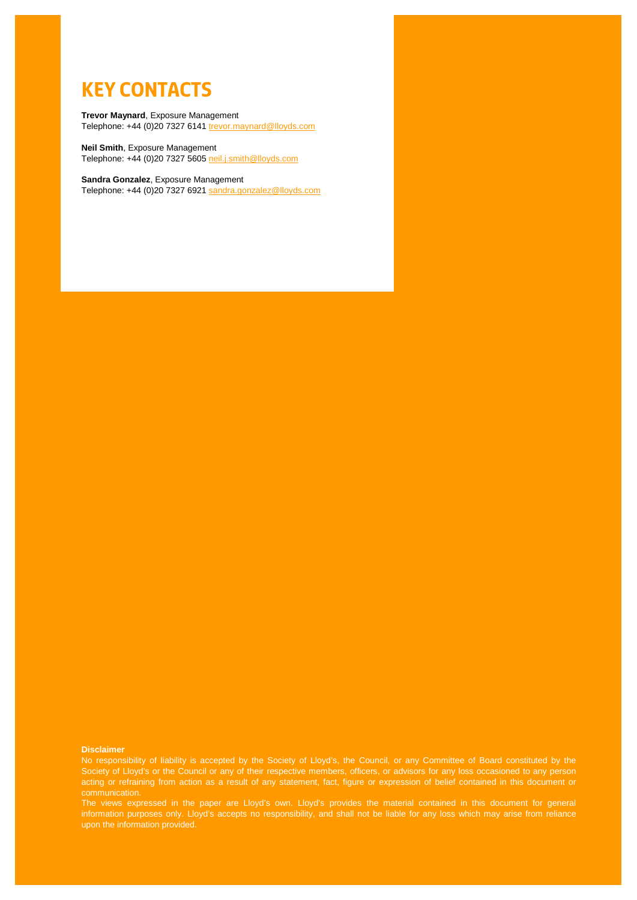### **Key Contacts**

#### <span id="page-2-0"></span>**Trevor Maynard**, Exposure Management Telephone: +44 (0)20 7327 6141 [trevor.maynard@lloyds.com](mailto:trevor.maynard@lloyds.com)

**Neil Smith**, Exposure Management Telephone: +44 (0)20 7327 5605 [neil.j.smith@lloyds.com](mailto:neil.j.smith@lloyds.com)

**Sandra Gonzalez**, Exposure Management Telephone: +44 (0)20 7327 6921 [sandra.gonzalez@lloyds.com](mailto:sandra.gonzalez@lloyds.com)

#### **Disclaimer**

Society of Lloyd's or the Council or any of their respective members, officers, or advisors for any loss occasioned to any person acting or refraining from action as a result of any statement, fact, figure or expression of belief contained in this document or

The views expressed in the paper are Lloyd's own. Lloyd's provides the material contained in this document for general information purposes only. Lloyd's accepts no responsibility, and shall not be liable for any loss which may arise from reliance upon the information provided.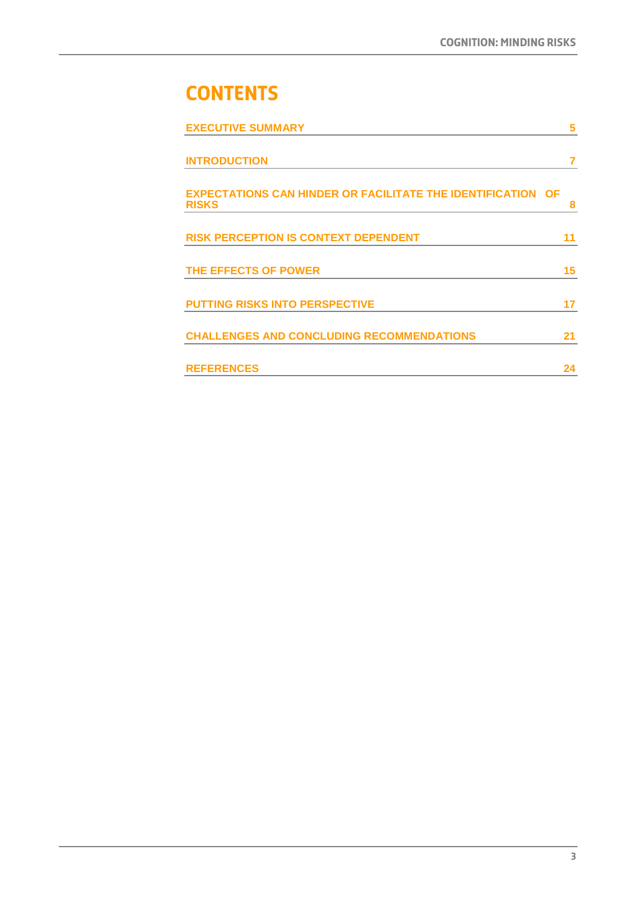# **Contents**

| <b>EXECUTIVE SUMMARY</b>                                                           | 5  |
|------------------------------------------------------------------------------------|----|
| <b>INTRODUCTION</b>                                                                | 7  |
| <b>EXPECTATIONS CAN HINDER OR FACILITATE THE IDENTIFICATION OF</b><br><b>RISKS</b> | 8  |
| <b>RISK PERCEPTION IS CONTEXT DEPENDENT</b>                                        | 11 |
| THE EFFECTS OF POWER                                                               | 15 |
| <b>PUTTING RISKS INTO PERSPECTIVE</b>                                              | 17 |
| <b>CHALLENGES AND CONCLUDING RECOMMENDATIONS</b>                                   | 21 |
| <b>REFERENCES</b>                                                                  | 24 |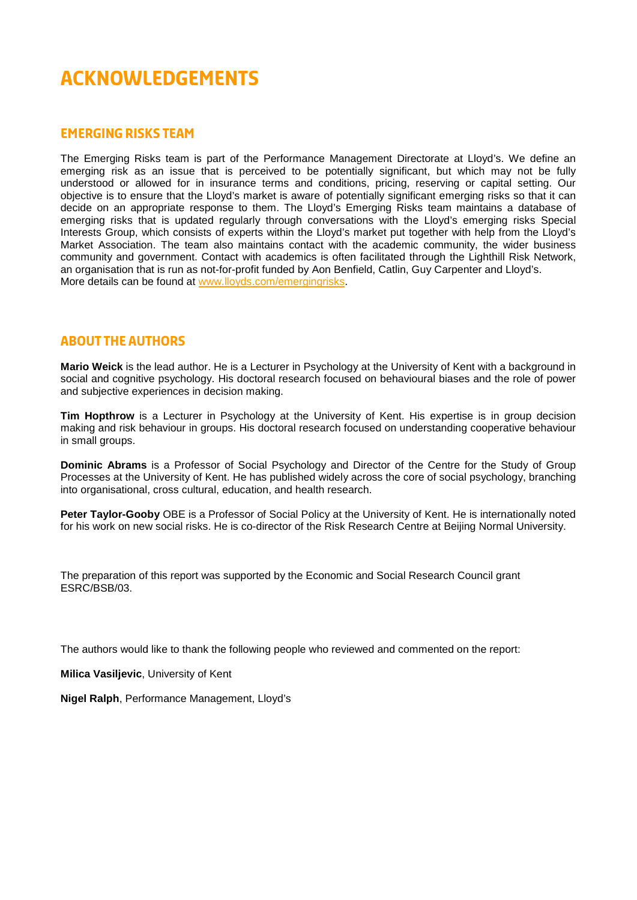## **Acknowledgements**

#### **Emerging risks team**

The Emerging Risks team is part of the Performance Management Directorate at Lloyd's. We define an emerging risk as an issue that is perceived to be potentially significant, but which may not be fully understood or allowed for in insurance terms and conditions, pricing, reserving or capital setting. Our objective is to ensure that the Lloyd's market is aware of potentially significant emerging risks so that it can decide on an appropriate response to them. The Lloyd's Emerging Risks team maintains a database of emerging risks that is updated regularly through conversations with the Lloyd's emerging risks Special Interests Group, which consists of experts within the Lloyd's market put together with help from the Lloyd's Market Association. The team also maintains contact with the academic community, the wider business community and government. Contact with academics is often facilitated through the Lighthill Risk Network, an organisation that is run as not-for-profit funded by Aon Benfield, Catlin, Guy Carpenter and Lloyd's. More details can be found at [www.lloyds.com/emergingrisks.](http://www.lloyds.com/emergingrisks)

#### **About the authors**

**Mario Weick** is the lead author. He is a Lecturer in Psychology at the University of Kent with a background in social and cognitive psychology. His doctoral research focused on behavioural biases and the role of power and subjective experiences in decision making.

**Tim Hopthrow** is a Lecturer in Psychology at the University of Kent. His expertise is in group decision making and risk behaviour in groups. His doctoral research focused on understanding cooperative behaviour in small groups.

**Dominic Abrams** is a Professor of Social Psychology and Director of the Centre for the Study of Group Processes at the University of Kent. He has published widely across the core of social psychology, branching into organisational, cross cultural, education, and health research.

**Peter Taylor-Gooby** OBE is a Professor of Social Policy at the University of Kent. He is internationally noted for his work on new social risks. He is co-director of the Risk Research Centre at Beijing Normal University.

The preparation of this report was supported by the Economic and Social Research Council grant ESRC/BSB/03.

The authors would like to thank the following people who reviewed and commented on the report:

**Milica Vasiljevic**, University of Kent

<span id="page-4-0"></span>**Nigel Ralph**, Performance Management, Lloyd's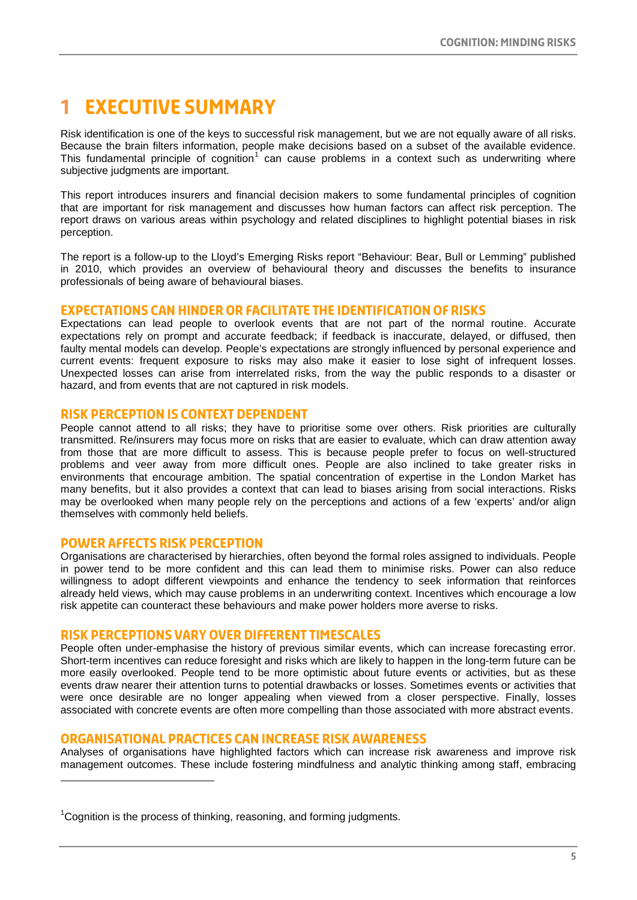### **1 Executive summary**

Risk identification is one of the keys to successful risk management, but we are not equally aware of all risks. Because the brain filters information, people make decisions based on a subset of the available evidence. This fundamental principle of cognition<sup>[1](#page-4-0)</sup> can cause problems in a context such as underwriting where subjective judgments are important.

This report introduces insurers and financial decision makers to some fundamental principles of cognition that are important for risk management and discusses how human factors can affect risk perception. The report draws on various areas within psychology and related disciplines to highlight potential biases in risk perception.

The report is a follow-up to the Lloyd's Emerging Risks report "Behaviour: Bear, Bull or Lemming" published in 2010, which provides an overview of behavioural theory and discusses the benefits to insurance professionals of being aware of behavioural biases.

#### **Expectations can hinder or facilitate the identification of risks**

Expectations can lead people to overlook events that are not part of the normal routine. Accurate expectations rely on prompt and accurate feedback; if feedback is inaccurate, delayed, or diffused, then faulty mental models can develop. People's expectations are strongly influenced by personal experience and current events: frequent exposure to risks may also make it easier to lose sight of infrequent losses. Unexpected losses can arise from interrelated risks, from the way the public responds to a disaster or hazard, and from events that are not captured in risk models.

#### **Risk perception is context dependent**

People cannot attend to all risks; they have to prioritise some over others. Risk priorities are culturally transmitted. Re/insurers may focus more on risks that are easier to evaluate, which can draw attention away from those that are more difficult to assess. This is because people prefer to focus on well-structured problems and veer away from more difficult ones. People are also inclined to take greater risks in environments that encourage ambition. The spatial concentration of expertise in the London Market has many benefits, but it also provides a context that can lead to biases arising from social interactions. Risks may be overlooked when many people rely on the perceptions and actions of a few 'experts' and/or align themselves with commonly held beliefs.

#### **Power affects risk perception**

1

Organisations are characterised by hierarchies, often beyond the formal roles assigned to individuals. People in power tend to be more confident and this can lead them to minimise risks. Power can also reduce willingness to adopt different viewpoints and enhance the tendency to seek information that reinforces already held views, which may cause problems in an underwriting context. Incentives which encourage a low risk appetite can counteract these behaviours and make power holders more averse to risks.

#### **risk perceptions vary over different timescales**

People often under-emphasise the history of previous similar events, which can increase forecasting error. Short-term incentives can reduce foresight and risks which are likely to happen in the long-term future can be more easily overlooked. People tend to be more optimistic about future events or activities, but as these events draw nearer their attention turns to potential drawbacks or losses. Sometimes events or activities that were once desirable are no longer appealing when viewed from a closer perspective. Finally, losses associated with concrete events are often more compelling than those associated with more abstract events.

#### **organisational practices can increase risk awareness**

Analyses of organisations have highlighted factors which can increase risk awareness and improve risk management outcomes. These include fostering mindfulness and analytic thinking among staff, embracing

 $1$ Cognition is the process of thinking, reasoning, and forming judgments.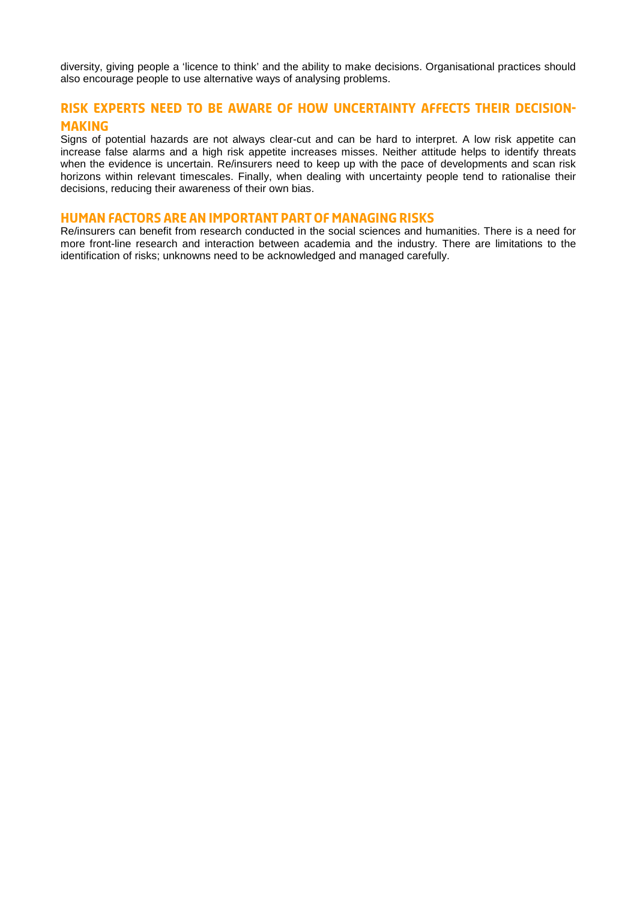diversity, giving people a 'licence to think' and the ability to make decisions. Organisational practices should also encourage people to use alternative ways of analysing problems.

#### **risk experts need to be aware of how uncertainty affects their decisionmaking**

Signs of potential hazards are not always clear-cut and can be hard to interpret. A low risk appetite can increase false alarms and a high risk appetite increases misses. Neither attitude helps to identify threats when the evidence is uncertain. Re/insurers need to keep up with the pace of developments and scan risk horizons within relevant timescales. Finally, when dealing with uncertainty people tend to rationalise their decisions, reducing their awareness of their own bias.

#### **Human factors are an important part of managing risks**

<span id="page-6-0"></span>Re/insurers can benefit from research conducted in the social sciences and humanities. There is a need for more front-line research and interaction between academia and the industry. There are limitations to the identification of risks; unknowns need to be acknowledged and managed carefully.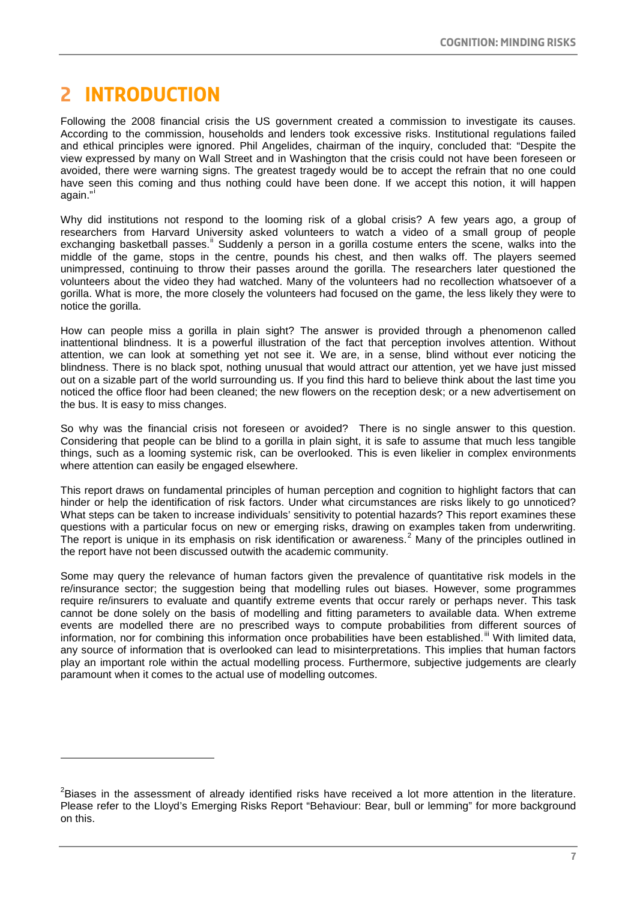# **2 Introduction**

-

Following the 2008 financial crisis the US government created a commission to investigate its causes. According to the commission, households and lenders took excessive risks. Institutional regulations failed and ethical principles were ignored. Phil Angelides, chairman of the inquiry, concluded that: "Despite the view expressed by many on Wall Street and in Washington that the crisis could not have been foreseen or avoided, there were warning signs. The greatest tragedy would be to accept the refrain that no one could have seen this coming and thus nothing could have been done. If we accept this notion, it will happen aga[i](#page-24-0)n."

Why did institutions not respond to the looming risk of a global crisis? A few years ago, a group of researchers from Harvard University asked volunteers to watch a video of a small group of people exchanging basketball passes.<sup>[ii](#page-24-1)</sup> Suddenly a person in a gorilla costume enters the scene, walks into the middle of the game, stops in the centre, pounds his chest, and then walks off. The players seemed unimpressed, continuing to throw their passes around the gorilla. The researchers later questioned the volunteers about the video they had watched. Many of the volunteers had no recollection whatsoever of a gorilla. What is more, the more closely the volunteers had focused on the game, the less likely they were to notice the gorilla.

How can people miss a gorilla in plain sight? The answer is provided through a phenomenon called inattentional blindness. It is a powerful illustration of the fact that perception involves attention. Without attention, we can look at something yet not see it. We are, in a sense, blind without ever noticing the blindness. There is no black spot, nothing unusual that would attract our attention, yet we have just missed out on a sizable part of the world surrounding us. If you find this hard to believe think about the last time you noticed the office floor had been cleaned; the new flowers on the reception desk; or a new advertisement on the bus. It is easy to miss changes.

So why was the financial crisis not foreseen or avoided? There is no single answer to this question. Considering that people can be blind to a gorilla in plain sight, it is safe to assume that much less tangible things, such as a looming systemic risk, can be overlooked. This is even likelier in complex environments where attention can easily be engaged elsewhere.

This report draws on fundamental principles of human perception and cognition to highlight factors that can hinder or help the identification of risk factors. Under what circumstances are risks likely to go unnoticed? What steps can be taken to increase individuals' sensitivity to potential hazards? This report examines these questions with a particular focus on new or emerging risks, drawing on examples taken from underwriting. The report is unique in its emphasis on risk identification or awareness.<sup>[2](#page-6-0)</sup> Many of the principles outlined in the report have not been discussed outwith the academic community.

Some may query the relevance of human factors given the prevalence of quantitative risk models in the re/insurance sector; the suggestion being that modelling rules out biases. However, some programmes require re/insurers to evaluate and quantify extreme events that occur rarely or perhaps never. This task cannot be done solely on the basis of modelling and fitting parameters to available data. When extreme events are modelled there are no prescribed ways to compute probabilities from different sources of information, nor for combining this information once probabilities have been established.<sup>[iii](#page-24-2)</sup> With limited data, any source of information that is overlooked can lead to misinterpretations. This implies that human factors play an important role within the actual modelling process. Furthermore, subjective judgements are clearly paramount when it comes to the actual use of modelling outcomes.

<sup>&</sup>lt;sup>2</sup>Biases in the assessment of already identified risks have received a lot more attention in the literature. Please refer to the Lloyd's Emerging Risks Report "Behaviour: Bear, bull or lemming" for more background on this.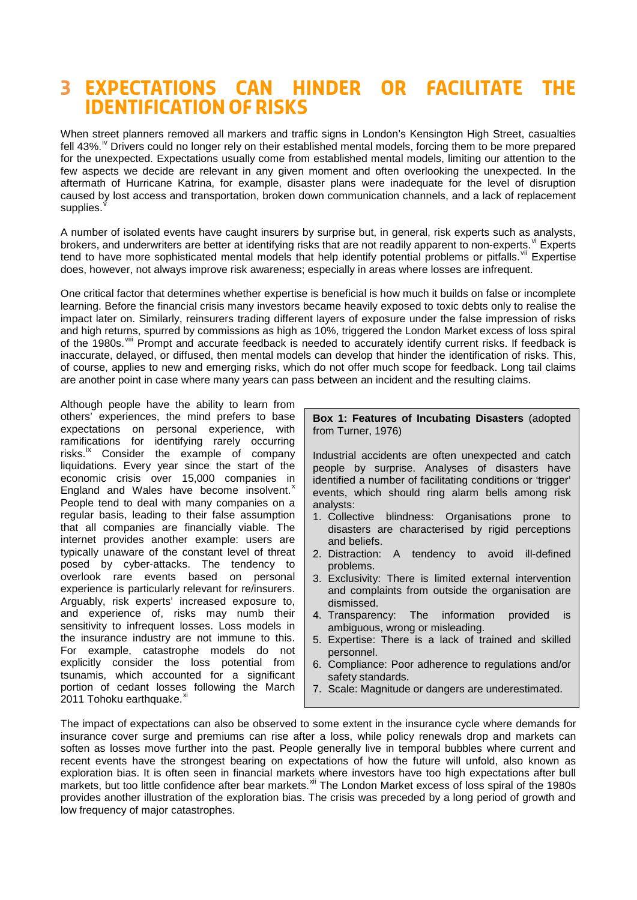### **3 Expectations can hinder or facilitate the identification of risks**

When street planners removed all markers and traffic signs in London's Kensington High Street, casualties fell 43%.<sup>"</sup> Dr[iv](#page-25-0)ers could no longer rely on their established mental models, forcing them to be more prepared for the unexpected. Expectations usually come from established mental models, limiting our attention to the few aspects we decide are relevant in any given moment and often overlooking the unexpected. In the aftermath of Hurricane Katrina, for example, disaster plans were inadequate for the level of disruption caused by lost access and transportation, broken down communication channels, and a lack of replacement supplies.

A number of isolated events have caught insurers by surprise but, in general, risk experts such as analysts, brokers, and underwriters are better at identifying risks that are not readily apparent to non-experts. [vi](#page-25-2) Experts tend to have more sophisticated mental models that help identify potential problems or pitfalls.<sup>[vii](#page-25-3)</sup> Expertise does, however, not always improve risk awareness; especially in areas where losses are infrequent.

One critical factor that determines whether expertise is beneficial is how much it builds on false or incomplete learning. Before the financial crisis many investors became heavily exposed to toxic debts only to realise the impact later on. Similarly, reinsurers trading different layers of exposure under the false impression of risks and high returns, spurred by commissions as high as 10%, triggered the London Market excess of loss spiral of the 1980s.<sup>[viii](#page-25-4)</sup> Prompt and accurate feedback is needed to accurately identify current risks. If feedback is inaccurate, delayed, or diffused, then mental models can develop that hinder the identification of risks. This, of course, applies to new and emerging risks, which do not offer much scope for feedback. Long tail claims are another point in case where many years can pass between an incident and the resulting claims.

Although people have the ability to learn from others' experiences, the mind prefers to base expectations on personal experience, with ramifications for identifying rarely occurring risks. ${}^{\mathrm{i}x}$  Consider the example of company liquidations. Every year since the start of the economic crisis over 15,000 companies in England and Wales have become insolvent.<sup>[x](#page-25-6)</sup> People tend to deal with many companies on a regular basis, leading to their false assumption that all companies are financially viable. The internet provides another example: users are typically unaware of the constant level of threat posed by cyber-attacks. The tendency to overlook rare events based on personal experience is particularly relevant for re/insurers. Arguably, risk experts' increased exposure to, and experience of, risks may numb their sensitivity to infrequent losses. Loss models in the insurance industry are not immune to this. For example, catastrophe models do not explicitly consider the loss potential from tsunamis, which accounted for a significant portion of cedant losses following the March 2011 Tohoku earthquake.<sup>[xi](#page-25-7)</sup>

**Box 1: Features of Incubating Disasters** (adopted from Turner, 1976)

Industrial accidents are often unexpected and catch people by surprise. Analyses of disasters have identified a number of facilitating conditions or 'trigger' events, which should ring alarm bells among risk analysts:

- 1. Collective blindness: Organisations prone to disasters are characterised by rigid perceptions and beliefs.
- 2. Distraction: A tendency to avoid ill-defined problems.
- 3. Exclusivity: There is limited external intervention and complaints from outside the organisation are dismissed.
- 4. Transparency: The information provided is ambiguous, wrong or misleading.
- 5. Expertise: There is a lack of trained and skilled personnel.
- 6. Compliance: Poor adherence to regulations and/or safety standards.
- 7. Scale: Magnitude or dangers are underestimated.

<span id="page-8-0"></span>The impact of expectations can also be observed to some extent in the insurance cycle where demands for insurance cover surge and premiums can rise after a loss, while policy renewals drop and markets can soften as losses move further into the past. People generally live in temporal bubbles where current and recent events have the strongest bearing on expectations of how the future will unfold, also known as exploration bias. It is often seen in financial markets where investors have too high expectations after bull markets, but too little confidence after bear markets.<sup>[xii](#page-25-8)</sup> The London Market excess of loss spiral of the 1980s provides another illustration of the exploration bias. The crisis was preceded by a long period of growth and low frequency of major catastrophes.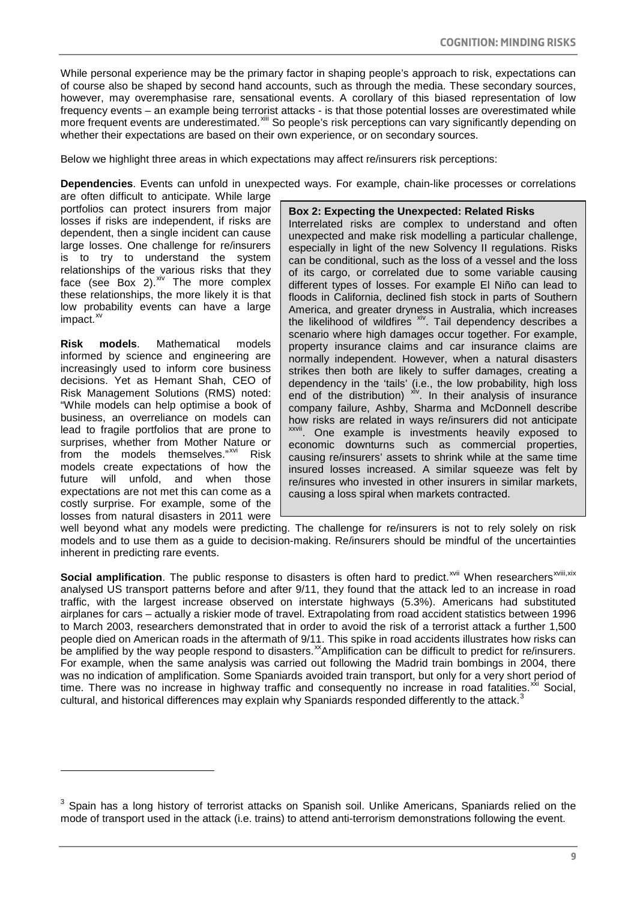While personal experience may be the primary factor in shaping people's approach to risk, expectations can of course also be shaped by second hand accounts, such as through the media. These secondary sources, however, may overemphasise rare, sensational events. A corollary of this biased representation of low frequency events – an example being terrorist attacks - is that those potential losses are overestimated while more frequent events are underestimated.<sup>[xiii](#page-26-0)</sup> So people's risk perceptions can vary significantly depending on whether their expectations are based on their own experience, or on secondary sources.

Below we highlight three areas in which expectations may affect re/insurers risk perceptions:

**Dependencies**. Events can unfold in unexpected ways. For example, chain-like processes or correlations

are often difficult to anticipate. While large portfolios can protect insurers from major losses if risks are independent, if risks are dependent, then a single incident can cause large losses. One challenge for re/insurers is to try to understand the system relationships of the various risks that they face (see Box 2).<sup>[xiv](#page-26-1)</sup> The more complex these relationships, the more likely it is that low probability events can have a large impact. $^{x}$ 

**Risk models**. Mathematical models informed by science and engineering are increasingly used to inform core business decisions. Yet as Hemant Shah, CEO of Risk Management Solutions (RMS) noted: "While models can help optimise a book of business, an overreliance on models can lead to fragile portfolios that are prone to surprises, whether from Mother Nature or from the models themselves."<sup>[xvi](#page-26-3)</sup> Risk models create expectations of how the future will unfold, and when those expectations are not met this can come as a costly surprise. For example, some of the losses from natural disasters in 2011 were

-

#### **Box 2: Expecting the Unexpected: Related Risks**

Interrelated risks are complex to understand and often unexpected and make risk modelling a particular challenge, especially in light of the new Solvency II regulations. Risks can be conditional, such as the loss of a vessel and the loss of its cargo, or correlated due to some variable causing different types of losses. For example El Niño can lead to floods in California, declined fish stock in parts of Southern America, and greater dryness in Australia, which increases the likelihood of wildfires [xiv](#page-23-0). Tail dependency describes a scenario where high damages occur together. For example, property insurance claims and car insurance claims are normally independent. However, when a natural disasters strikes then both are likely to suffer damages, creating a dependency in the 'tails' (i.e., the low probability, high loss end of the distribution)  $x^iv$ . In their analysis of insurance company failure, Ashby, Sharma and McDonnell describe how risks are related in ways re/insurers did not anticipate <sup>[xxvii](#page-24-3)</sup>. One example is investments heavily exposed to economic downturns such as commercial properties, causing re/insurers' assets to shrink while at the same time insured losses increased. A similar squeeze was felt by re/insures who invested in other insurers in similar markets, causing a loss spiral when markets contracted.

well beyond what any models were predicting. The challenge for re/insurers is not to rely solely on risk models and to use them as a guide to decision-making. Re/insurers should be mindful of the uncertainties inherent in predicting rare events.

Social amplification. The public response to disasters is often hard to predict.<sup>[xvii](#page-26-4)</sup> When researchers<sup>xviii[,](#page-26-5)[xix](#page-26-6)</sup> analysed US transport patterns before and after 9/11, they found that the attack led to an increase in road traffic, with the largest increase observed on interstate highways (5.3%). Americans had substituted airplanes for cars – actually a riskier mode of travel. Extrapolating from road accident statistics between 1996 to March 2003, researchers demonstrated that in order to avoid the risk of a terrorist attack a further 1,500 people died on American roads in the aftermath of 9/11. This spike in road accidents illustrates how risks can be amplified by the way people respond to disasters.<sup>[xx](#page-26-7)</sup>Amplification can be difficult to predict for re/insurers. For example, when the same analysis was carried out following the Madrid train bombings in 2004, there was no indication of amplification. Some Spaniards avoided train transport, but only for a very short period of time. There was no increase in highway traffic and consequently no increase in road fatalities. $^{xx}$  Social, cultural, and historical differences may explain why Spaniards responded differently to the attack.<sup>[3](#page-8-0)</sup>

 $3$  Spain has a long history of terrorist attacks on Spanish soil. Unlike Americans, Spaniards relied on the mode of transport used in the attack (i.e. trains) to attend anti-terrorism demonstrations following the event.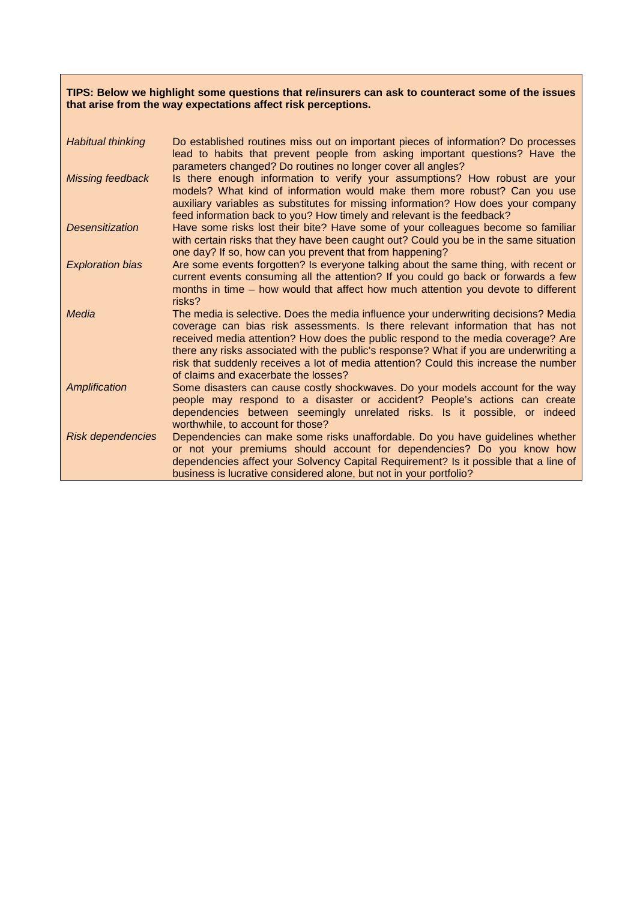#### **TIPS: Below we highlight some questions that re/insurers can ask to counteract some of the issues that arise from the way expectations affect risk perceptions.**

| <b>Habitual thinking</b> | Do established routines miss out on important pieces of information? Do processes<br>lead to habits that prevent people from asking important questions? Have the<br>parameters changed? Do routines no longer cover all angles?                                                                                                                                                                                                                                                   |
|--------------------------|------------------------------------------------------------------------------------------------------------------------------------------------------------------------------------------------------------------------------------------------------------------------------------------------------------------------------------------------------------------------------------------------------------------------------------------------------------------------------------|
| Missing feedback         | Is there enough information to verify your assumptions? How robust are your<br>models? What kind of information would make them more robust? Can you use<br>auxiliary variables as substitutes for missing information? How does your company<br>feed information back to you? How timely and relevant is the feedback?                                                                                                                                                            |
| <b>Desensitization</b>   | Have some risks lost their bite? Have some of your colleagues become so familiar<br>with certain risks that they have been caught out? Could you be in the same situation<br>one day? If so, how can you prevent that from happening?                                                                                                                                                                                                                                              |
| <b>Exploration bias</b>  | Are some events forgotten? Is everyone talking about the same thing, with recent or<br>current events consuming all the attention? If you could go back or forwards a few<br>months in time - how would that affect how much attention you devote to different<br>risks?                                                                                                                                                                                                           |
| Media                    | The media is selective. Does the media influence your underwriting decisions? Media<br>coverage can bias risk assessments. Is there relevant information that has not<br>received media attention? How does the public respond to the media coverage? Are<br>there any risks associated with the public's response? What if you are underwriting a<br>risk that suddenly receives a lot of media attention? Could this increase the number<br>of claims and exacerbate the losses? |
| Amplification            | Some disasters can cause costly shockwaves. Do your models account for the way<br>people may respond to a disaster or accident? People's actions can create<br>dependencies between seemingly unrelated risks. Is it possible, or indeed<br>worthwhile, to account for those?                                                                                                                                                                                                      |
| <b>Risk dependencies</b> | Dependencies can make some risks unaffordable. Do you have guidelines whether<br>or not your premiums should account for dependencies? Do you know how<br>dependencies affect your Solvency Capital Requirement? Is it possible that a line of<br>business is lucrative considered alone, but not in your portfolio?                                                                                                                                                               |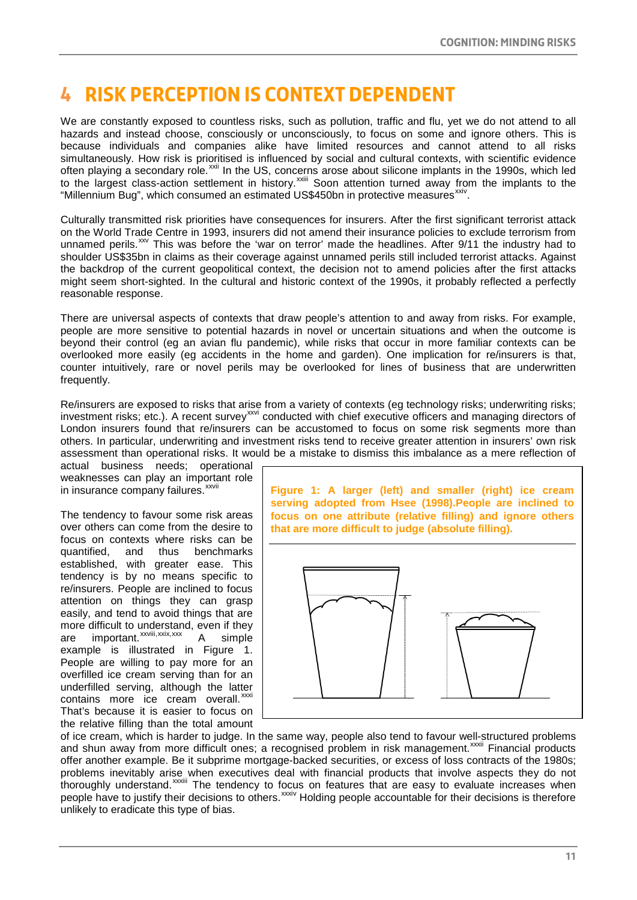# **4 Risk perception is context dependent**

We are constantly exposed to countless risks, such as pollution, traffic and flu, yet we do not attend to all hazards and instead choose, consciously or unconsciously, to focus on some and ignore others. This is because individuals and companies alike have limited resources and cannot attend to all risks simultaneously. How risk is prioritised is influenced by social and cultural contexts, with scientific evidence often playing a secondary role.<sup>[xxii](#page-27-0)</sup> In the US, concerns arose about silicone implants in the 1990s, which led tothe largest class-action settlement in history.<sup>xxiii</sup> Soon attention turned away from the implants to the "Millennium Bug", which consumed an estimated US\$450bn in protective measures<sup>[xxiv](#page-27-2)</sup>.

Culturally transmitted risk priorities have consequences for insurers. After the first significant terrorist attack on the World Trade Centre in 1993, insurers did not amend their insurance policies to exclude terrorism from unnamed perils.<sup>[xxv](#page-27-3)</sup> This was before the 'war on terror' made the headlines. After 9/11 the industry had to shoulder US\$35bn in claims as their coverage against unnamed perils still included terrorist attacks. Against the backdrop of the current geopolitical context, the decision not to amend policies after the first attacks might seem short-sighted. In the cultural and historic context of the 1990s, it probably reflected a perfectly reasonable response.

There are universal aspects of contexts that draw people's attention to and away from risks. For example, people are more sensitive to potential hazards in novel or uncertain situations and when the outcome is beyond their control (eg an avian flu pandemic), while risks that occur in more familiar contexts can be overlooked more easily (eg accidents in the home and garden). One implication for re/insurers is that, counter intuitively, rare or novel perils may be overlooked for lines of business that are underwritten frequently.

Re/insurers are exposed to risks that arise from a variety of contexts (eg technology risks; underwriting risks; investment risks; etc.). A recent survey<sup>[xxvi](#page-27-4)</sup> conducted with chief executive officers and managing directors of London insurers found that re/insurers can be accustomed to focus on some risk segments more than others. In particular, underwriting and investment risks tend to receive greater attention in insurers' own risk assessment than operational risks. It would be a mistake to dismiss this imbalance as a mere reflection of

ininsurance company failures. xxvii actual business needs; operational weaknesses can play an important role

The tendency to favour some risk areas over others can come from the desire to focus on contexts where risks can be quantified, and thus benchmarks established, with greater ease. This tendency is by no means specific to re/insurers. People are inclined to focus attention on things they can grasp easily, and tend to avoid things that are more difficult to understand, even if they<br>are important.  $x_{x}$  intervals are important. are important.<sup>xxviii</sup> simple example is illustrated in Figure 1. People are willing to pay more for an overfilled ice cream serving than for an underfilled serving, although the latter contains more ice cream overall.<sup>[xxxi](#page-27-9)</sup> That's because it is easier to focus on the relative filling than the total amount

**Figure 1: A larger (left) and smaller (right) ice cream serving adopted from Hsee (1998).People are inclined to focus on one attribute (relative filling) and ignore others that are more difficult to judge (absolute filling).**



and shun away from more d[i](#page-27-10)fficult ones; a recognised problem in risk management.<sup>xxxii</sup> Financial products thoroughly understand.<sup> XXXIII</sup> The tendency to focus on features that are easy to evaluate [i](#page-27-11)ncreases when peoplehave to justify their decisions to others. XXXIV Holding people accountable for their decisions is therefore of ice cream, which is harder to judge. In the same way, people also tend to favour well-structured problems offer another example. Be it subprime mortgage-backed securities, or excess of loss contracts of the 1980s; problems inevitably arise when executives deal with financial products that involve aspects they do not unlikely to eradicate this type of bias.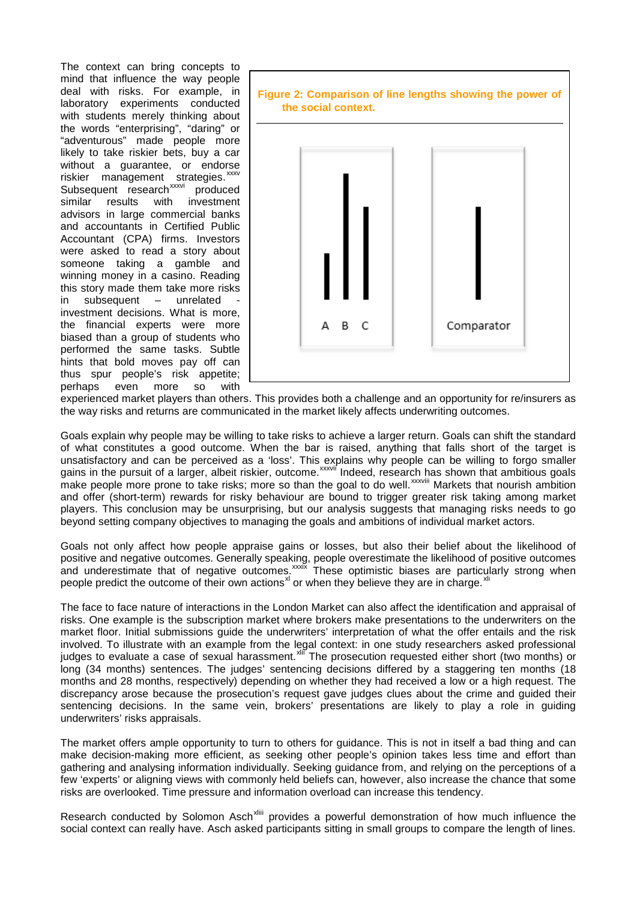The context can bring concepts to mind that influence the way people deal with risks. For example, in laboratory experiments conducted with students merely thinking about the words "enterprising", "daring" or "adventurous" made people more likely to take riskier bets, buy a car without a guarantee, or endorse riskier management st[ra](#page-27-14)tegies. [xxxv](#page-27-13) Subsequent research<sup>xxxvi</sup> produced similar results with investment advisors in large commercial banks and accountants in Certified Public Accountant (CPA) firms. Investors were asked to read a story about someone taking a gamble and winning money in a casino. Reading this story made them take more risks  $in$  subsequent  $-$  unrelated investment decisions. What is more, the financial experts were more biased than a group of students who performed the same tasks. Subtle hints that bold moves pay off can thus spur people's risk appetite; perhaps even more so with



experienced market players than others. This provides both a challenge and an opportunity for re/insurers as the way risks and returns are communicated in the market likely affects underwriting outcomes.

Goals explain why people may be willing to take risks to achieve a larger return. Goals can shift the standard of what constitutes a good outcome. When the bar is raised, anything that falls short of the target is unsatisfactory and can be perceived as a 'loss'. This ex[p](#page-27-15)lains why people can be willing to forgo smaller gains in the pursuit of a larger, albeit riskier, outcome.<sup>xxxvií</sup> Indeed, research [ha](#page-27-16)s shown that ambitious goals make people more prone to take risks; more so than the goal to do well.<sup>xxxviii</sup> Markets that nourish ambition and offer (short-term) rewards for risky behaviour are bound to trigger greater risk taking among market players. This conclusion may be unsurprising, but our analysis suggests that managing risks needs to go beyond setting company objectives to managing the goals and ambitions of individual market actors.

Goals not only affect how people appraise gains or losses, but also their belief about the likelihood of positive and negative outcomes. Generally speakin[g,](#page-27-17) people overestimate the likelihood of positive outcomes and underestimate that of negative outcomes.<sup>xxxix</sup> These optimistic biases are particularly strong when people predict the outcome of their own actions<sup>[xl](#page-27-18)</sup> or when they believe they are in charge. <sup>[xli](#page-27-19)</sup>

The face to face nature of interactions in the London Market can also affect the identification and appraisal of risks. One example is the subscription market where brokers make presentations to the underwriters on the market floor. Initial submissions guide the underwriters' interpretation of what the offer entails and the risk involved. To illustrate with an example from the legal context: in one study researchers asked professional judges to evaluate a case of sexual harassment.<sup>xlif</sup> The prosecution requested either short (two months) or long (34 months) sentences. The judges' sentencing decisions differed by a staggering ten months (18 months and 28 months, respectively) depending on whether they had received a low or a high request. The discrepancy arose because the prosecution's request gave judges clues about the crime and guided their sentencing decisions. In the same vein, brokers' presentations are likely to play a role in guiding underwriters' risks appraisals.

The market offers ample opportunity to turn to others for guidance. This is not in itself a bad thing and can make decision-making more efficient, as seeking other people's opinion takes less time and effort than gathering and analysing information individually. Seeking guidance from, and relying on the perceptions of a few 'experts' or aligning views with commonly held beliefs can, however, also increase the chance that some risks are overlooked. Time pressure and information overload can increase this tendency.

<span id="page-12-0"></span>Research conducted by Solomon Asch<sup>xliii</sup> provides a powerful demonstration of how much influence the social context can really have. Asch asked [p](#page-27-21)articipants sitting in small groups to compare the length of lines.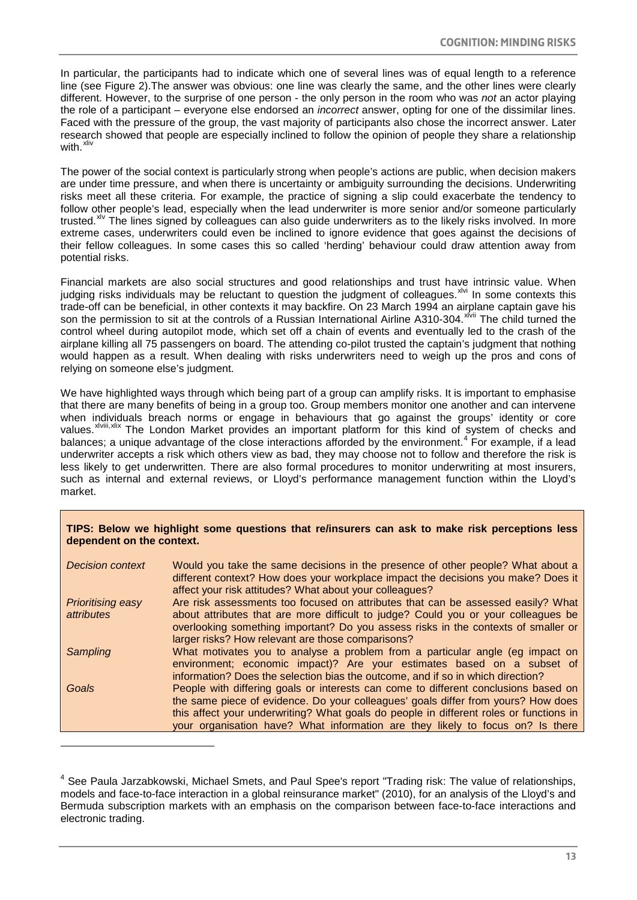In particular, the participants had to indicate which one of several lines was of equal length to a reference line (see Figure 2).The answer was obvious: one line was clearly the same, and the other lines were clearly different. However, to the surprise of one person - the only person in the room who was not an actor playing the role of a participant – everyone else endorsed an incorrect answer, opting for one of the dissimilar lines. Faced with the pressure of the group, the vast majority of participants also chose the incorrect answer. Later research showed that people are especially inclined to follow the opinion of people they share a relationship with.<sup>[xliv](#page-27-22)</sup>

The power of the social context is particularly strong when people's actions are public, when decision makers are under time pressure, and when there is uncertainty or ambiguity surrounding the decisions. Underwriting risks meet all these criteria. For example, the practice of signing a slip could exacerbate the tendency to follow other people's lead, especially when the lead underwriter is more senior and/or someone particularly trusted.<sup>[xlv](#page-27-23)</sup> The lines signed by colleagues can also guide underwriters as to the likely risks involved. In more extreme cases, underwriters could even be inclined to ignore evidence that goes against the decisions of their fellow colleagues. In some cases this so called 'herding' behaviour could draw attention away from potential risks.

Financial markets are also social structures and good relationships and trust have intrinsic value. When judging risks individuals may be reluctant to question the judgment of colleagues. XIVI In some contexts this trade-off can be beneficial, in other contexts it may backfire. On 23 March 1994 an airp[la](#page-27-25)ne captain gave his<br>con the permission to sit at the controls of a Bussian International Airline A310.304 <sup>xlvii</sup> The shild turned t son the permission to sit at the controls of a Russian International Airline A310-304.<sup>xivir</sup> The child turned the control wheel during autopilot mode, which set off a chain of events and eventually led to the crash of the airplane killing all 75 passengers on board. The attending co-pilot trusted the captain's judgment that nothing would happen as a result. When dealing with risks underwriters need to weigh up the pros and cons of relying on someone else's judgment.

We have highlighted ways through which being part of a group can amplify risks. It is important to emphasise that there are many benefits of being in a group too. Group members monitor one another and can intervene when individuals breach norms or engage in behaviours that go against the groups' identity or core values.<sup>xlviii</sup>,xlix The London Market provides an important platform for this kind of system of checks and  $\alpha$  The London Market provides an important platform for this kind of system of checks and balances; a unique advantage of the close interactions afforded by the environment.<sup>[4](#page-12-0)</sup> For example, if a lead underwriter accepts a risk which others view as bad, they may choose not to follow and therefore the risk is less likely to get underwritten. There are also formal procedures to monitor underwriting at most insurers, such as internal and external reviews, or Lloyd's performance management function within the Lloyd's market.

#### **TIPS: Below we highlight some questions that re/insurers can ask to make risk perceptions less dependent on the context.**

| <b>Decision context</b>                | Would you take the same decisions in the presence of other people? What about a<br>different context? How does your workplace impact the decisions you make? Does it<br>affect your risk attitudes? What about your colleagues?                                                                                                                      |
|----------------------------------------|------------------------------------------------------------------------------------------------------------------------------------------------------------------------------------------------------------------------------------------------------------------------------------------------------------------------------------------------------|
| <b>Prioritising easy</b><br>attributes | Are risk assessments too focused on attributes that can be assessed easily? What<br>about attributes that are more difficult to judge? Could you or your colleagues be<br>overlooking something important? Do you assess risks in the contexts of smaller or<br>larger risks? How relevant are those comparisons?                                    |
| Sampling                               | What motivates you to analyse a problem from a particular angle (eg impact on<br>environment; economic impact)? Are your estimates based on a subset of<br>information? Does the selection bias the outcome, and if so in which direction?                                                                                                           |
| Goals                                  | People with differing goals or interests can come to different conclusions based on<br>the same piece of evidence. Do your colleagues' goals differ from yours? How does<br>this affect your underwriting? What goals do people in different roles or functions in<br>your organisation have? What information are they likely to focus on? Is there |

1

<sup>&</sup>lt;sup>4</sup> See Paula Jarzabkowski, Michael Smets, and Paul Spee's report "Trading risk: The value of relationships, models and face-to-face interaction in a global reinsurance market" (2010), for an analysis of the Lloyd's and Bermuda subscription markets with an emphasis on the comparison between face-to-face interactions and electronic trading.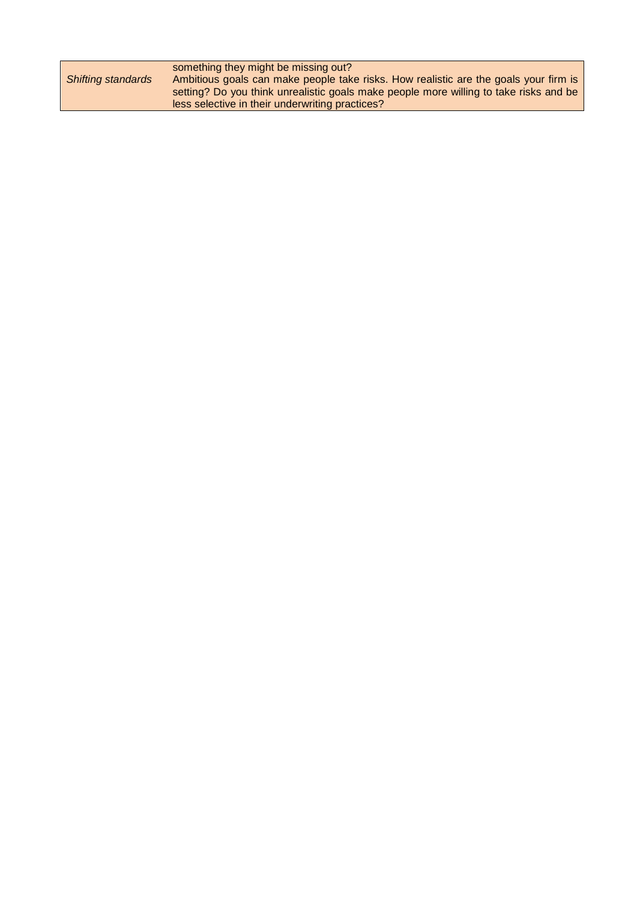<span id="page-14-0"></span>

|                           | something they might be missing out?                                                  |
|---------------------------|---------------------------------------------------------------------------------------|
| <b>Shifting standards</b> | Ambitious goals can make people take risks. How realistic are the goals your firm is  |
|                           | setting? Do you think unrealistic goals make people more willing to take risks and be |
|                           | less selective in their underwriting practices?                                       |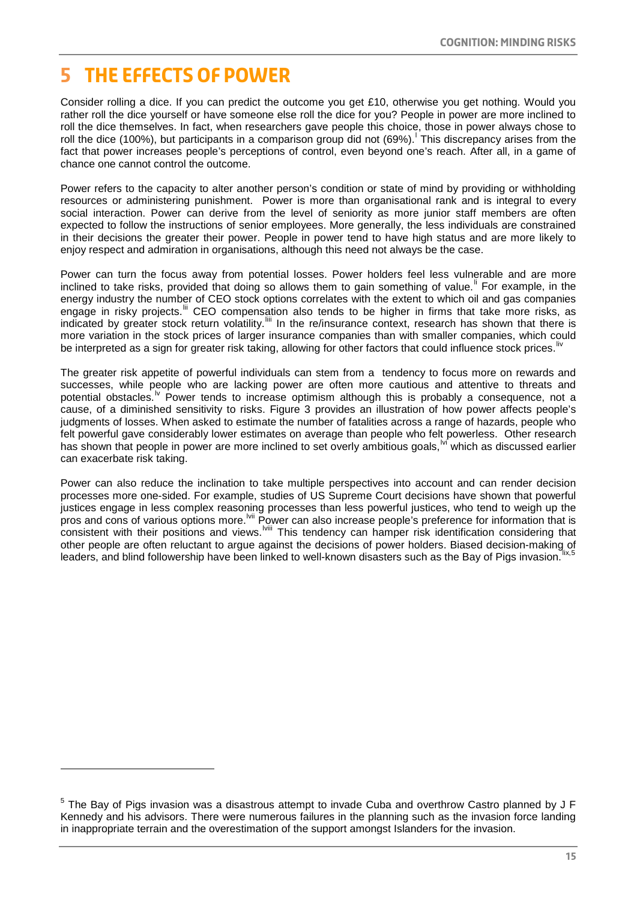### **5 The effects of power**

1

Consider rolling a dice. If you can predict the outcome you get £10, otherwise you get nothing. Would you rather roll the dice yourself or have someone else roll the dice for you? People in power are more inclined to roll the dice themselves. In fact, when researchers gave people this choice, those in power always chose to ro[l](#page-27-28)l the dice (100%), but participants in a comparison group did not (69%). This discrepancy arises from the fact that power increases people's perceptions of control, even beyond one's reach. After all, in a game of chance one cannot control the outcome.

Power refers to the capacity to alter another person's condition or state of mind by providing or withholding resources or administering punishment. Power is more than organisational rank and is integral to every social interaction. Power can derive from the level of seniority as more junior staff members are often expected to follow the instructions of senior employees. More generally, the less individuals are constrained in their decisions the greater their power. People in power tend to have high status and are more likely to enjoy respect and admiration in organisations, although this need not always be the case.

Power can turn the focus away from potential losses. Power holders feel less vulnerable and are more inc[li](#page-27-29)ned to take risks, provided that doing so allows them to gain something of value.<sup>II</sup> For example, in the energy industry the number of CEO stock options correlates with the extent to which oil and gas companies engage in risky projects.<sup>ii</sup> CEO compensation also tends to be higher in firms that take more risks, as indicated by greater stock return volatility.<sup>[iii</sup> In the re/insurance context, research has shown that there is more variation in the stock prices of larger insurance companies than with smaller companies, which could be interpreted as a sign for greater risk taking, allowing for other factors that could influence stock prices.<sup>[liv](#page-27-32)</sup>

The greater risk appetite of powerful individuals can stem from a tendency to focus more on rewards and successes, while people who are lacking power are often more cautious and attentive to threats and potential obstacles.<sup>1</sup> Power tends to increase optimism although this is probably a consequence, not a cause, of a diminished sensitivity to risks. Figure 3 provides an illustration of how power affects people's judgments of losses. When asked to estimate the number of fatalities across a range of hazards, people who felt powerful gave considerably lower estimates on average than people who felt powerless. Other research has shown that people in power are more inclined to set overly ambitious goals, w which as discussed earlier can exacerbate risk taking.

Power can also reduce the inclination to take multiple perspectives into account and can render decision processes more one-sided. For example, studies of US Supreme Court decisions have shown that powerful justices engage in less complex reasoning processes than less powerful justices, who tend to weigh up the pros and cons of various options more.<sup>Ivii</sup> Po[w](#page-27-36)er can also increase people's preference for information that is consistent with their positions and views. <sup>Iviii</sup> This tendency can hamper risk identification considering that other people are often reluctant to argue against the decisions of power holders. Biased decision-making of leaders, and blind followership have been linked to well-known disasters such as the Bay of Pigs invasion. Ix,5

<sup>&</sup>lt;sup>5</sup> The Bay of Pigs invasion was a disastrous attempt to invade Cuba and overthrow Castro planned by J F Kennedy and his advisors. There were numerous failures in the planning such as the invasion force landing in inappropriate terrain and the overestimation of the support amongst Islanders for the invasion.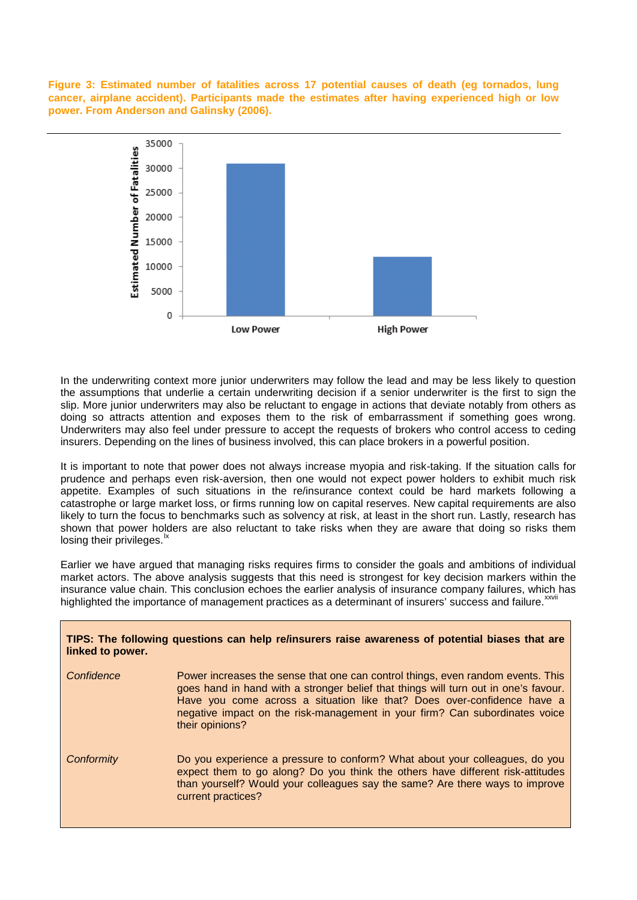**Figure 3: Estimated number of fatalities across 17 potential causes of death (eg tornados, lung cancer, airplane accident). Participants made the estimates after having experienced high or low power. From Anderson and Galinsky (2006).** 



In the underwriting context more junior underwriters may follow the lead and may be less likely to question the assumptions that underlie a certain underwriting decision if a senior underwriter is the first to sign the slip. More junior underwriters may also be reluctant to engage in actions that deviate notably from others as doing so attracts attention and exposes them to the risk of embarrassment if something goes wrong. Underwriters may also feel under pressure to accept the requests of brokers who control access to ceding insurers. Depending on the lines of business involved, this can place brokers in a powerful position.

It is important to note that power does not always increase myopia and risk-taking. If the situation calls for prudence and perhaps even risk-aversion, then one would not expect power holders to exhibit much risk appetite. Examples of such situations in the re/insurance context could be hard markets following a catastrophe or large market loss, or firms running low on capital reserves. New capital requirements are also likely to turn the focus to benchmarks such as solvency at risk, at least in the short run. Lastly, research has shown that power holders are also reluctant to take risks when they are aware that doing so risks them losing their privileges. $\frac{1}{2}$ 

Earlier we have argued that managing risks requires firms to consider the goals and ambitions of individual market actors. The above analysis suggests that this need is strongest for key decision markers within the insurance value chain. This conclusion echoes the earlier analysis of insurance company failures, which has highlighted the importance of management practices as a determinant of insurers' success and failure.<sup>xxvii</sup>

| linked to power. | TIPS: The following questions can help re/insurers raise awareness of potential biases that are                                                                                                                                                                                                                                                     |
|------------------|-----------------------------------------------------------------------------------------------------------------------------------------------------------------------------------------------------------------------------------------------------------------------------------------------------------------------------------------------------|
| Confidence       | Power increases the sense that one can control things, even random events. This<br>goes hand in hand with a stronger belief that things will turn out in one's favour.<br>Have you come across a situation like that? Does over-confidence have a<br>negative impact on the risk-management in your firm? Can subordinates voice<br>their opinions? |
| Conformity       | Do you experience a pressure to conform? What about your colleagues, do you<br>expect them to go along? Do you think the others have different risk-attitudes<br>than yourself? Would your colleagues say the same? Are there ways to improve<br>current practices?                                                                                 |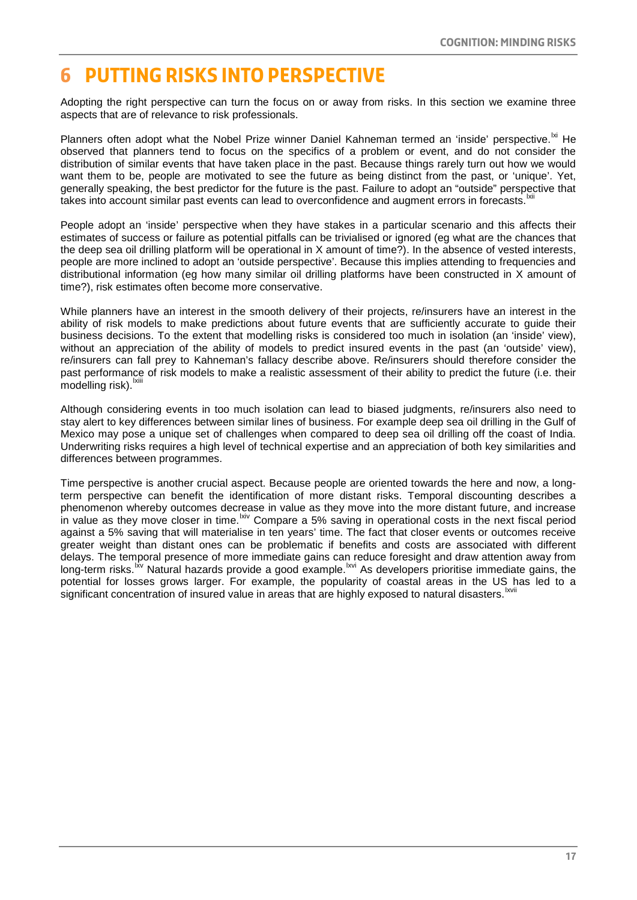### **6 Putting risks into perspective**

Adopting the right perspective can turn the focus on or away from risks. In this section we examine three aspects that are of relevance to risk professionals.

Planners often adopt what the Nobel Prize winner Daniel Kahneman termed an 'inside' perspective. Ixi He observed that planners tend to focus on the specifics of a problem or event, and do not consider the distribution of similar events that have taken place in the past. Because things rarely turn out how we would want them to be, people are motivated to see the future as being distinct from the past, or 'unique'. Yet, generally speaking, the best predictor for the future is the past. Failure to adopt an "outside" perspective that takes into account similar past events can lead to overconfidence and augment errors in forecasts.

People adopt an 'inside' perspective when they have stakes in a particular scenario and this affects their estimates of success or failure as potential pitfalls can be trivialised or ignored (eg what are the chances that the deep sea oil drilling platform will be operational in X amount of time?). In the absence of vested interests, people are more inclined to adopt an 'outside perspective'. Because this implies attending to frequencies and distributional information (eg how many similar oil drilling platforms have been constructed in X amount of time?), risk estimates often become more conservative.

While planners have an interest in the smooth delivery of their projects, re/insurers have an interest in the ability of risk models to make predictions about future events that are sufficiently accurate to guide their business decisions. To the extent that modelling risks is considered too much in isolation (an 'inside' view), without an appreciation of the ability of models to predict insured events in the past (an 'outside' view), re/insurers can fall prey to Kahneman's fallacy describe above. Re/insurers should therefore consider the past performanc[e](#page-27-40) of risk models to make a realistic assessment of their ability to predict the future (i.e. their  $modelling$  risk). $b$ 

Although considering events in too much isolation can lead to biased judgments, re/insurers also need to stay alert to key differences between similar lines of business. For example deep sea oil drilling in the Gulf of Mexico may pose a unique set of challenges when compared to deep sea oil drilling off the coast of India. Underwriting risks requires a high level of technical expertise and an appreciation of both key similarities and differences between programmes.

<span id="page-17-0"></span>Time perspective is another crucial aspect. Because people are oriented towards the here and now, a longterm perspective can benefit the identification of more distant risks. Temporal discounting describes a phenomenon whereby outcomes decrease in value as they move into the more distant future, and increase in value as they move closer in time. <sup>kiv</sup> Compare a 5% saving in operational costs in the next fiscal period s[i](#page-27-43)gnificant concentration of insured value in areas that are highly exposed to natural disasters.<sup>Ixvii</sup> against a 5% saving that will materialise in ten years' time. The fact that closer events or outcomes receive greater weight than distant ones can be problematic if benefits and costs are associated with different delays. The temporal presence of more immediate gains can reduce foresight and draw attention away from long-term risks.<sup>I'v</sup> Natural hazards provide a good example.<sup>Ixvi</sup> As developers prioritise immediate gains, the potential for losses grows larger. For example, the popularity of coastal areas in the US has led to a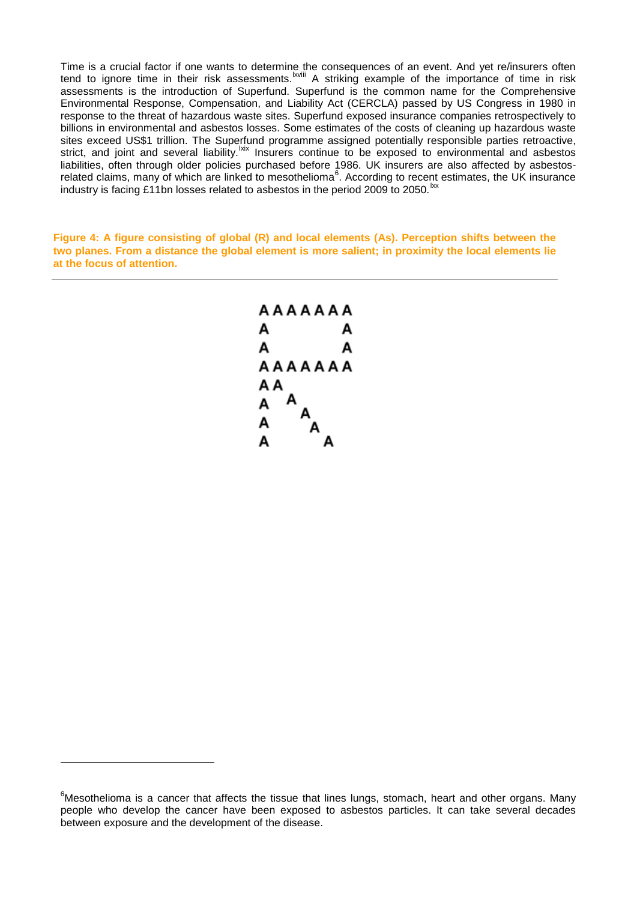Time is a crucial factor if one wants to determine t[h](#page-27-44)e consequences of an event. And yet re/insurers often tend to ignore time in their risk assessments.<sup>Ixviii</sup> A striking example of the importance of time in risk assessments is the introduction of Superfund. Superfund is the common name for the Comprehensive Environmental Response, Compensation, and Liability Act (CERCLA) passed by US Congress in 1980 in response to the threat of [hazardous waste](http://en.wikipedia.org/wiki/Hazardous_waste) sites. Superfund exposed insurance companies retrospectively to billions in environmental and asbestos losses. Some estimates of the costs of cleaning up hazardous waste sites exceed US\$1 trillion. The Superfund programme assigned potentially responsible parties retroactive, strict, and joint and several liability. Kix Insurers continue to be exposed to environmental and asbestos liabilities, often through older policies purchased before 1986. UK insurers are also affected by asbestos-related claims, many of which are linked to mesothelioma<sup>[6](#page-17-0)</sup>. According to recent estimates, the UK insurance industry is facing £11bn losses related to asbestos in the period 2009 to 2050.<sup>1xx</sup>

**Figure 4: A figure consisting of global (R) and local elements (As). Perception shifts between the two planes. From a distance the global element is more salient; in proximity the local elements lie at the focus of attention.**



1

<sup>&</sup>lt;sup>6</sup>Mesothelioma is a cancer that affects the tissue that lines lungs, stomach, heart and other organs. Many people who develop the cancer have been exposed to asbestos particles. It can take several decades between exposure and the development of the disease.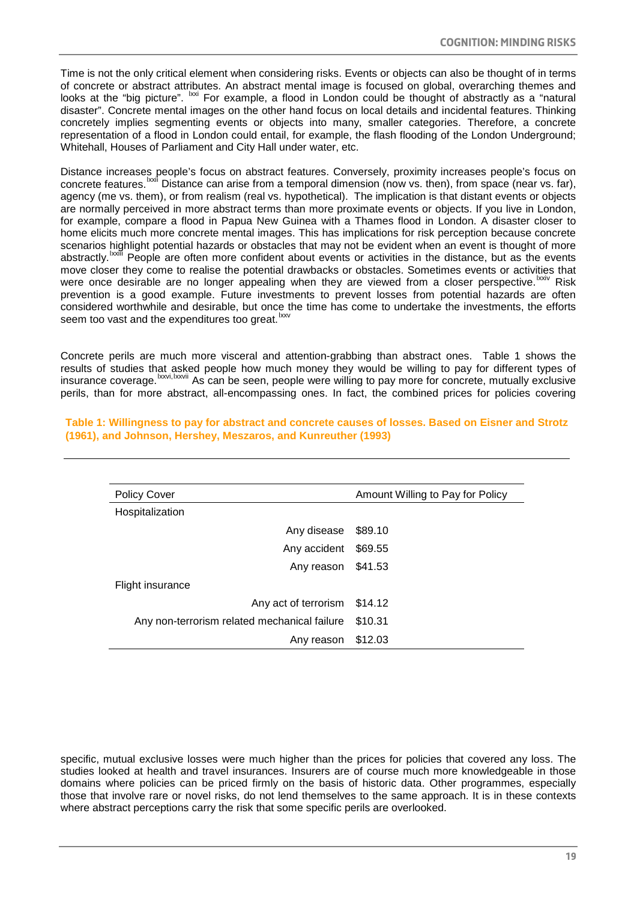Time is not the only critical element when considering risks. Events or objects can also be thought of in terms of concrete or abstract attributes. An abstract mental image is focused on global, overarching themes and looks at the "big picture". <sup>Ixxi</sup> For example, a flood in London could be thought of abstractly as a "natural disaster". Concrete mental images on the other hand focus on local details and incidental features. Thinking concretely implies segmenting events or objects into many, smaller categories. Therefore, a concrete representation of a flood in London could entail, for example, the flash flooding of the London Underground; Whitehall, Houses of Parliament and City Hall under water, etc.

Distance increases people's focus on abstract features. Conversely, proximity increases people's focus on concretefeatures.<sup>Ixxii</sup> Distance can arise from a temporal dimension (now vs. then), from space (near vs. far), abstractly.<sup>Ixxiii</sup>People are often more confident about events or activities in the distance, but as the events were once desirable are no longer appealing when they are [v](#page-27-49)iewed from a closer perspective.<sup>Ixxiv</sup> Risk agency (me vs. them), or from realism (real vs. hypothetical). The implication is that distant events or objects are normally perceived in more abstract terms than more proximate events or objects. If you live in London, for example, compare a flood in Papua New Guinea with a Thames flood in London. A disaster closer to home elicits much more concrete mental images. This has implications for risk perception because concrete scenarios highlight potential hazards or obstacles that may not be evident when an event is thought of more move closer they come to realise the potential drawbacks or obstacles. Sometimes events or activities that prevention is a good example. Future investments to prevent losses from potential hazards are often considered worthwhile and desirable, but once the time has come to undertake the investments, the efforts seem too vast and the expenditures too great.<sup>[lxxv](#page-27-50)</sup>

Concrete perils are much more visceral and attention-grabbing than abstract ones. Table 1 shows the results of studies that asked people how much money they would be willing to pay for different types of insurance coverage. <sup>Ixxvi, Ixxvii</sup> As can be seen, people were willing to pay more for concrete, mutually exclusive perils, than for more abstract, all-encompassing ones. In fact, the combined prices for policies covering

<span id="page-19-0"></span>

| <b>Policy Cover</b>                          | Amount Willing to Pay for Policy |
|----------------------------------------------|----------------------------------|
| Hospitalization                              |                                  |
| Any disease                                  | \$89.10                          |
| Any accident                                 | \$69.55                          |
| Any reason                                   | \$41.53                          |
| Flight insurance                             |                                  |
| Any act of terrorism                         | \$14.12                          |
| Any non-terrorism related mechanical failure | \$10.31                          |
| Any reason                                   | \$12.03                          |

**Table 1: Willingness to pay for abstract and concrete causes of losses. Based on Eisner and Strotz (1961), and Johnson, Hershey, Meszaros, and Kunreuther (1993)**

specific, mutual exclusive losses were much higher than the prices for policies that covered any loss. The studies looked at health and travel insurances. Insurers are of course much more knowledgeable in those domains where policies can be priced firmly on the basis of historic data. Other programmes, especially those that involve rare or novel risks, do not lend themselves to the same approach. It is in these contexts where abstract perceptions carry the risk that some specific perils are overlooked.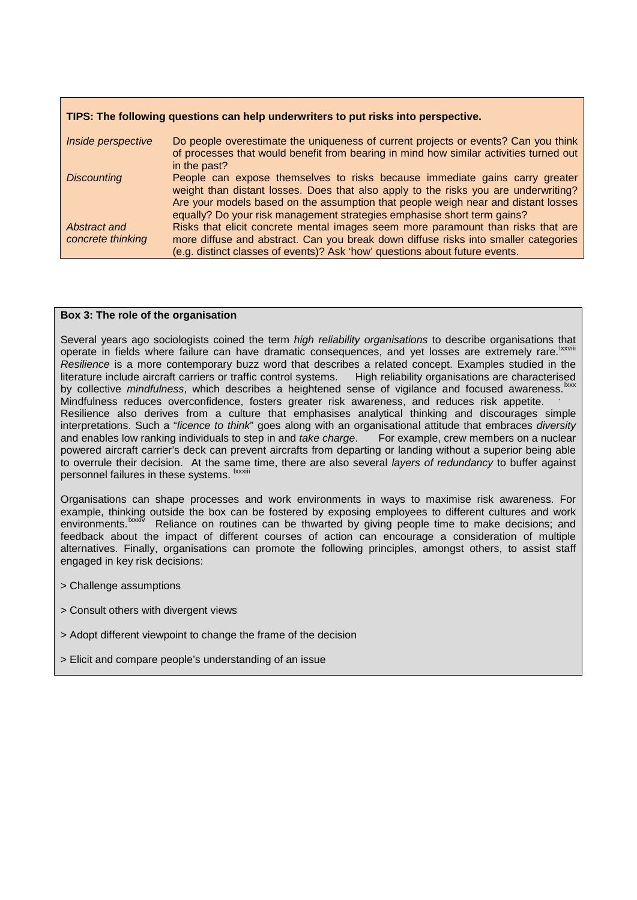#### **TIPS: The following questions can help underwriters to put risks into perspective.**

| Inside perspective                | Do people overestimate the uniqueness of current projects or events? Can you think<br>of processes that would benefit from bearing in mind how similar activities turned out<br>in the past?                                                                                                                                       |
|-----------------------------------|------------------------------------------------------------------------------------------------------------------------------------------------------------------------------------------------------------------------------------------------------------------------------------------------------------------------------------|
| <b>Discounting</b>                | People can expose themselves to risks because immediate gains carry greater<br>weight than distant losses. Does that also apply to the risks you are underwriting?<br>Are your models based on the assumption that people weigh near and distant losses<br>equally? Do your risk management strategies emphasise short term gains? |
| Abstract and<br>concrete thinking | Risks that elicit concrete mental images seem more paramount than risks that are<br>more diffuse and abstract. Can you break down diffuse risks into smaller categories<br>(e.g. distinct classes of events)? Ask 'how' questions about future events.                                                                             |

#### **Box 3: The role of the organisation**

Severalyears ago sociologists coined the term high reliability organisations to describe organisations that operate in fields where failure can have dramatic consequences, and yet losses are extremely rare. Ixxvi literature include aircraft carriers or traffic control systems. High reliability organisations are characterised lxxxi lxxxii and enables low ranking individuals to step in and take charge. [F](#page-27-56)or example, crew members on a nuclear Resilience is a more contemporary buzz word that describes a related concept. Examples studied in the bycollective mindfulness, which describes a heightened sense of vigilance and focused awareness. **KXX** Mindfulness reduces overconfidence, fosters greater risk awareness, and reduces risk appetite. , Resilience also derives from a culture that emphasises analytical thinking and discourages simple interpretations. Such a "*licence to think*" goes along with an organisational attitude that embraces *diversity*<br>and enables low ranking individuals to step in and *take charge*. For example, crew members on a nuclear powered aircraft carrier's deck can prevent aircrafts from departing or landing without a superior being able to overrule their decision. At the same time, there are also several layers of redundancy to buffer against personnel failures in these systems. <sup>Ixxxiii</sup>

Organisations can shape processes and work environments in ways to maximise risk awareness. For example, thinking outside the box can be fostered by exposing employees to different cultures and work environments.<sup>lxxxiv</sup> Reliance on routines can be thwarted by giving people time to make decisions; and feedback about the impact of different courses of action can encourage a consideration of multiple alternatives. Finally, organisations can promote the following principles, amongst others, to assist staff engaged in key risk decisions:

> Challenge assumptions

- > Consult others with divergent views
- > Adopt different viewpoint to change the frame of the decision
- > Elicit and compare people's understanding of an issue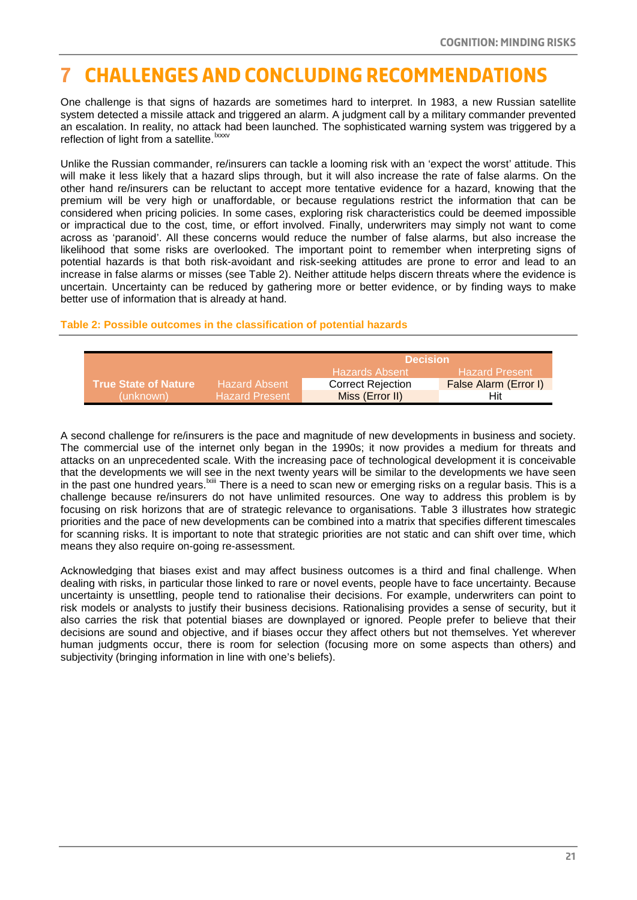# **7 Challenges and concluding recommendations**

One challenge is that signs of hazards are sometimes hard to interpret. In 1983, a new Russian satellite system detected a missile attack and triggered an alarm. A judgment call by a military commander prevented an escalation. In reality, no attack [ha](#page-27-58)d been launched. The sophisticated warning system was triggered by a reflection of light from a satellite.<sup>lxxxv</sup>

Unlike the Russian commander, re/insurers can tackle a looming risk with an 'expect the worst' attitude. This will make it less likely that a hazard slips through, but it will also increase the rate of false alarms. On the other hand re/insurers can be reluctant to accept more tentative evidence for a hazard, knowing that the premium will be very high or unaffordable, or because regulations restrict the information that can be considered when pricing policies. In some cases, exploring risk characteristics could be deemed impossible or impractical due to the cost, time, or effort involved. Finally, underwriters may simply not want to come across as 'paranoid'. All these concerns would reduce the number of false alarms, but also increase the likelihood that some risks are overlooked. The important point to remember when interpreting signs of potential hazards is that both risk-avoidant and risk-seeking attitudes are prone to error and lead to an increase in false alarms or misses (see Table 2). Neither attitude helps discern threats where the evidence is uncertain. Uncertainty can be reduced by gathering more or better evidence, or by finding ways to make better use of information that is already at hand.

#### **Table 2: Possible outcomes in the classification of potential hazards**

|                             |                       | <b>Decision</b>          |                       |
|-----------------------------|-----------------------|--------------------------|-----------------------|
|                             |                       | <b>Hazards Absent</b>    | <b>Hazard Present</b> |
| <b>True State of Nature</b> | Hazard Absent         | <b>Correct Rejection</b> | False Alarm (Error I) |
| (unknown)                   | <b>Hazard Present</b> | Miss (Error II)          | Hit                   |

A second challenge for re/insurers is the pace and magnitude of new developments in business and society. The commercial use of the internet only began in the 1990s; it now provides a medium for threats and attacks on an unprecedented scale. With the increasing pace of technological development it is conceivable that the developments we will see in the next twenty years will be similar to the developments we have seen in the past one hundred years. <sup>Ixiii</sup> There is a need to scan new or emerging risks on a regular basis. This is a challenge because re/insurers do not have unlimited resources. One way to address this problem is by focusing on risk horizons that are of strategic relevance to organisations. Table 3 illustrates how strategic priorities and the pace of new developments can be combined into a matrix that specifies different timescales for scanning risks. It is important to note that strategic priorities are not static and can shift over time, which means they also require on-going re-assessment.

<span id="page-21-0"></span>Acknowledging that biases exist and may affect business outcomes is a third and final challenge. When dealing with risks, in particular those linked to rare or novel events, people have to face uncertainty. Because uncertainty is unsettling, people tend to rationalise their decisions. For example, underwriters can point to risk models or analysts to justify their business decisions. Rationalising provides a sense of security, but it also carries the risk that potential biases are downplayed or ignored. People prefer to believe that their decisions are sound and objective, and if biases occur they affect others but not themselves. Yet wherever human judgments occur, there is room for selection (focusing more on some aspects than others) and subjectivity (bringing information in line with one's beliefs).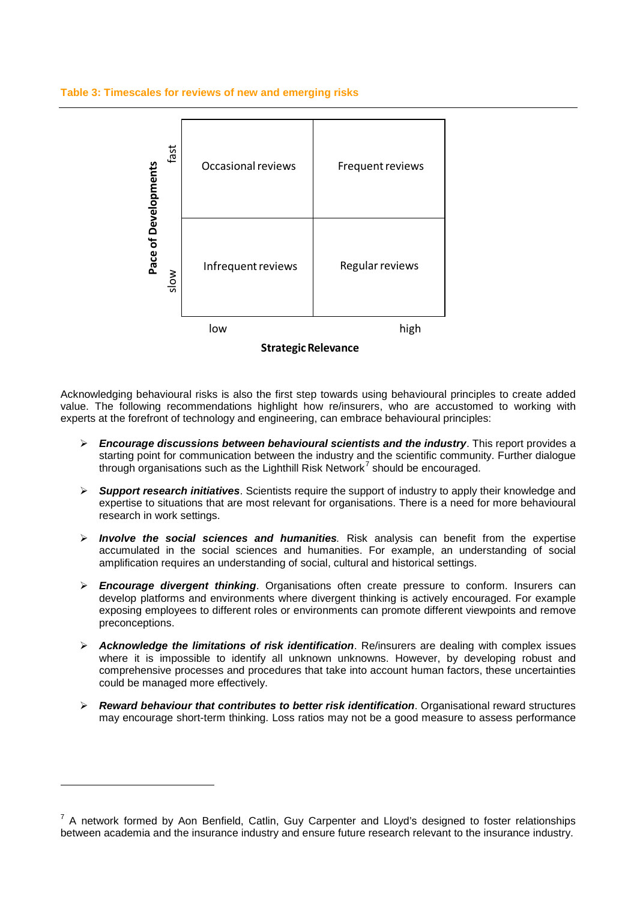#### **Table 3: Timescales for reviews of new and emerging risks**



Acknowledging behavioural risks is also the first step towards using behavioural principles to create added value. The following recommendations highlight how re/insurers, who are accustomed to working with experts at the forefront of technology and engineering, can embrace behavioural principles:

- **Encourage discussions between behavioural scientists and the industry**. This report provides a starting point for communication between the industry and the scientific community. Further dialogue through organisations such as the Lighthill Risk Network<sup>[7](#page-21-0)</sup> should be encouraged.
- **Support research initiatives**. Scientists require the support of industry to apply their knowledge and expertise to situations that are most relevant for organisations. There is a need for more behavioural research in work settings.
- **Involve the social sciences and humanities**. Risk analysis can benefit from the expertise accumulated in the social sciences and humanities. For example, an understanding of social amplification requires an understanding of social, cultural and historical settings.
- **Encourage divergent thinking**. Organisations often create pressure to conform. Insurers can develop platforms and environments where divergent thinking is actively encouraged. For example exposing employees to different roles or environments can promote different viewpoints and remove preconceptions.
- **Acknowledge the limitations of risk identification**. Re/insurers are dealing with complex issues where it is impossible to identify all unknown unknowns. However, by developing robust and comprehensive processes and procedures that take into account human factors, these uncertainties could be managed more effectively.
- **Reward behaviour that contributes to better risk identification**. Organisational reward structures may encourage short-term thinking. Loss ratios may not be a good measure to assess performance

1

<span id="page-22-0"></span> $7$  A network formed by Aon Benfield, Catlin, Guy Carpenter and Lloyd's designed to foster relationships between academia and the insurance industry and ensure future research relevant to the insurance industry.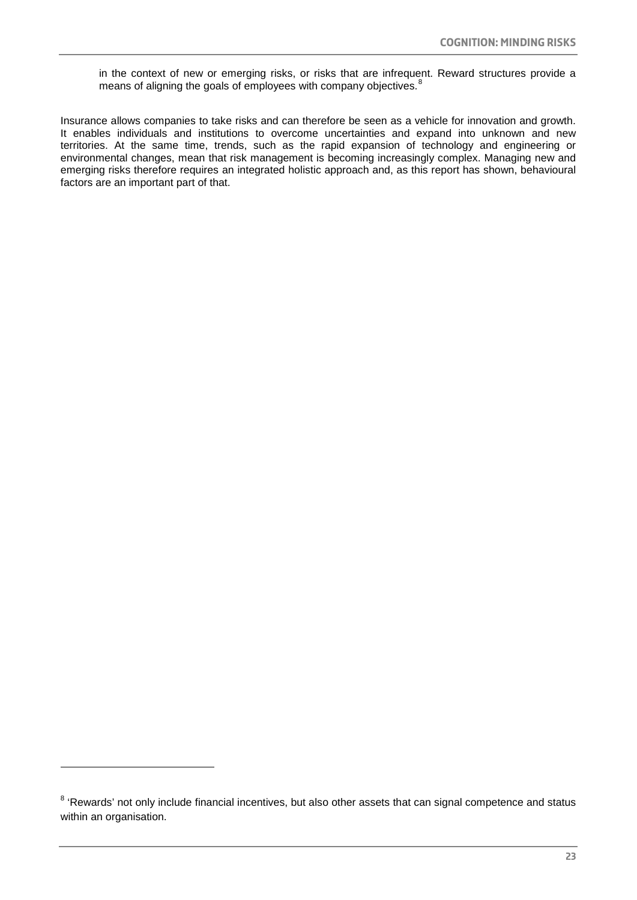in the context of new or emerging risks, or risks that are infrequent. Reward structures provide a means of aligning the goals of employees with company objectives.<sup>[8](#page-22-0)</sup>

Insurance allows companies to take risks and can therefore be seen as a vehicle for innovation and growth. It enables individuals and institutions to overcome uncertainties and expand into unknown and new territories. At the same time, trends, such as the rapid expansion of technology and engineering or environmental changes, mean that risk management is becoming increasingly complex. Managing new and emerging risks therefore requires an integrated holistic approach and, as this report has shown, behavioural factors are an important part of that.

<span id="page-23-0"></span>1

<sup>&</sup>lt;sup>8</sup> 'Rewards' not only include financial incentives, but also other assets that can signal competence and status within an organisation.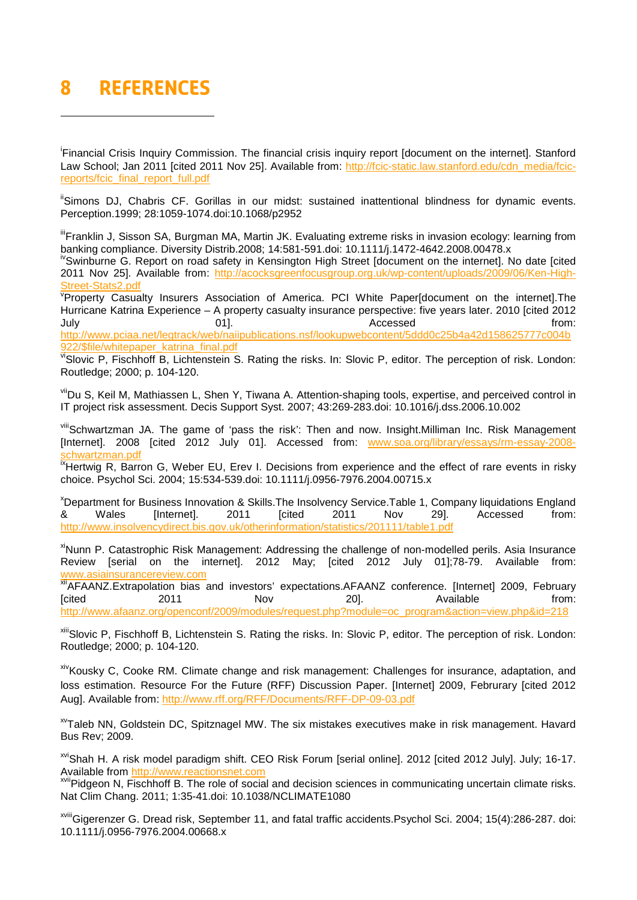# **8 References**

-

<span id="page-24-0"></span>i Financial Crisis Inquiry Commission. The financial crisis inquiry report [document on the internet]. Stanford Law School; Jan 2011 [cited 2011 Nov 25]. Available from: [http://fcic-static.law.stanford.edu/cdn\\_media/fcic](http://fcic-static.law.stanford.edu/cdn_media/fcic-reports/fcic_final_report_full.pdf)[reports/fcic\\_final\\_report\\_full.pdf](http://fcic-static.law.stanford.edu/cdn_media/fcic-reports/fcic_final_report_full.pdf)

<span id="page-24-1"></span>"Simons DJ, Chabris CF. Gorillas in our midst: sustained inattentional blindness for dynamic events. Perception.1999; 28:1059-1074.doi:10.1068/p2952

<span id="page-24-2"></span>"Franklin J, Sisson SA, Burgman MA, Martin JK. Evaluating extreme risks in invasion ecology: learning from banking compliance. Diversity Distrib.2008; 14:581-591.doi: 10.1111/j.1472-4642.2008.00478.x

ivSwinburne G. Report on road safety in Kensington High Street [document on the internet]. No date [cited 2011 Nov 25]. Available from: [http://acocksgreenfocusgroup.org.uk/wp-content/uploads/2009/06/Ken-High-](http://acocksgreenfocusgroup.org.uk/wp-content/uploads/2009/06/Ken-High-Street-Stats2.pdf)[Street-Stats2.pdf](http://acocksgreenfocusgroup.org.uk/wp-content/uploads/2009/06/Ken-High-Street-Stats2.pdf)

v Property Casualty Insurers Association of America. PCI White Paper[document on the internet].The Hurricane Katrina Experience – A property casualty insurance perspective: five years later. 2010 [cited 2012 July 01]. Accessed from: [http://www.pciaa.net/legtrack/web/naiipublications.nsf/lookupwebcontent/5ddd0c25b4a42d158625777c004b](http://www.pciaa.net/legtrack/web/naiipublications.nsf/lookupwebcontent/5ddd0c25b4a42d158625777c004b922/$file/whitepaper_katrina_final.pdf) [922/\\$file/whitepaper\\_katrina\\_final.pdf](http://www.pciaa.net/legtrack/web/naiipublications.nsf/lookupwebcontent/5ddd0c25b4a42d158625777c004b922/$file/whitepaper_katrina_final.pdf)

viSlovic P, Fischhoff B, Lichtenstein S. Rating the risks. In: Slovic P, editor. The perception of risk. London: Routledge; 2000; p. 104-120.

<span id="page-24-3"></span>viiDu S, Keil M, Mathiassen L, Shen Y, Tiwana A. Attention-shaping tools, expertise, and perceived control in IT project risk assessment. Decis Support Syst. 2007; 43:269-283.doi: 10.1016/j.dss.2006.10.002

vill Schwartzman JA. The game of 'pass the risk': Then and now. Insight.Milliman Inc. Risk Management [Internet]. 2008 [cited 2012 July 01]. Accessed from: [www.soa.org/library/essays/rm-essay-2008](http://www.soa.org/library/essays/rm-essay-2008-schwartzman.pdf) chwartzman.pdf

<sup>Ix</sup>Hertwig R, Barron G, Weber EU, Erev I. Decisions from experience and the effect of rare events in risky choice. Psychol Sci. 2004; 15:534-539.doi: 10.1111/j.0956-7976.2004.00715.x

<sup>x</sup>Department for Business Innovation & Skills.The Insolvency Service.Table 1, Company liquidations England & Wales [Internet]. 2011 [cited 2011 Nov 29]. Accessed from: <http://www.insolvencydirect.bis.gov.uk/otherinformation/statistics/201111/table1.pdf>

<sup>xi</sup>Nunn P. Catastrophic Risk Management: Addressing the challenge of non-modelled perils. Asia Insurance Review [serial on the internet]. 2012 May; [cited 2012 July 01];78-79. Available from: [www.asiainsurancereview.com](http://www.asiainsurancereview.com/)

xii AFAANZ.Extrapolation bias and investors' expectations.AFAANZ conference. [Internet] 2009, February [cited 2011 Nov 20]. Available from: [http://www.afaanz.org/openconf/2009/modules/request.php?module=oc\\_program&action=view.php&id=218](http://www.afaanz.org/openconf/2009/modules/request.php?module=oc_program&action=view.php&id=218)

xiii Slovic P, Fischhoff B, Lichtenstein S. Rating the risks. In: Slovic P, editor. The perception of risk. London: Routledge; 2000; p. 104-120.

xivKousky C, Cooke RM. Climate change and risk management: Challenges for insurance, adaptation, and loss estimation. Resource For the Future (RFF) Discussion Paper. [Internet] 2009, Februrary [cited 2012 Aug]. Available from[: http://www.rff.org/RFF/Documents/RFF-DP-09-03.pdf](http://www.rff.org/RFF/Documents/RFF-DP-09-03.pdf)

xvTaleb NN, Goldstein DC, Spitznagel MW. The six mistakes executives make in risk management. Havard Bus Rev; 2009.

xviShah H. A risk model paradigm shift. CEO Risk Forum [serial online]. 2012 [cited 2012 July]. July; 16-17. Available from [http://www.reactionsnet.com](http://www.reactionsnet.com/)

xviiPidgeon N, Fischhoff B. The role of social and decision sciences in communicating uncertain climate risks. Nat Clim Chang. 2011; 1:35-41.doi: 10.1038/NCLIMATE1080

xviiiGigerenzer G. Dread risk, September 11, and fatal traffic accidents.Psychol Sci. 2004; 15(4):286-287. doi: 10.1111/j.0956-7976.2004.00668.x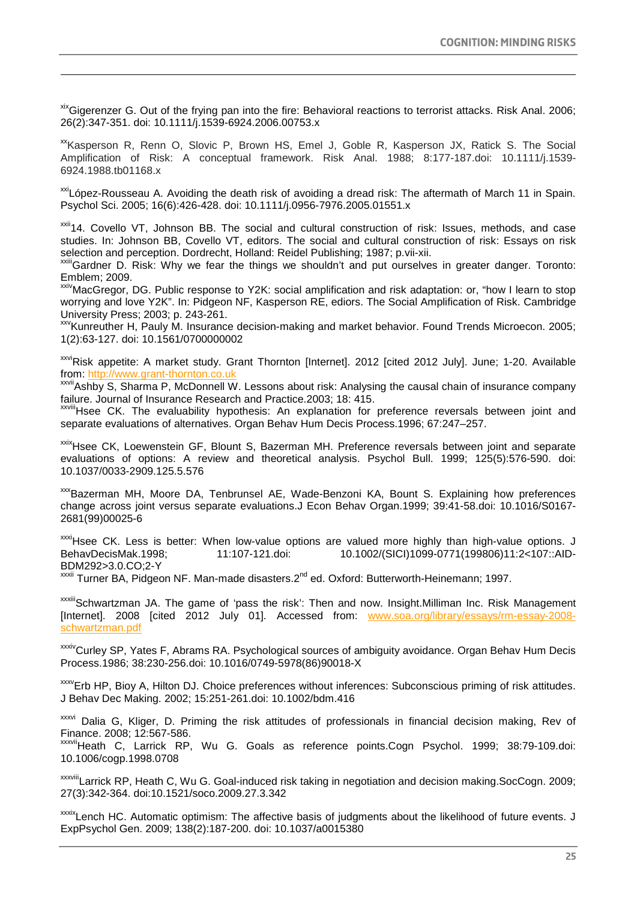xix Gigerenzer G. Out of the frying pan into the fire: Behavioral reactions to terrorist attacks. Risk Anal. 2006; 26(2):347-351. doi: 10.1111/j.1539-6924.2006.00753.x

-

<sup>xx</sup>Kasperson R, Renn O, Slovic P, Brown HS, Emel J, Goble R, Kasperson JX, Ratick S. The Social Amplification of Risk: A conceptual framework. Risk Anal. 1988; 8:177-187.doi: 10.1111/j.1539- 6924.1988.tb01168.x

<sup>xxi</sup>López-Rousseau A. Avoiding the death risk of avoiding a dread risk: The aftermath of March 11 in Spain. Psychol Sci. 2005; 16(6):426-428. doi: 10.1111/j.0956-7976.2005.01551.x

xxii<sub>14</sub>. Covello VT, Johnson BB. The social and cultural construction of risk: Issues, methods, and case studies. In: Johnson BB, Covello VT, editors. The social and cultural construction of risk: Essays on risk selection and perception. Dordrecht, Holland: Reidel Publishing; 1987; p.vii-xii.

<span id="page-25-0"></span>xxiiiGardner D. Risk: Why we fear the things we shouldn't and put ourselves in greater danger. Toronto: Emblem; 2009.

<span id="page-25-1"></span><sup>xxiv</sup>MacGregor, DG. Public response to Y2K: social amplification and risk adaptation: or, "how I learn to stop worrying and love Y2K". In: Pidgeon NF, Kasperson RE, ediors. The Social Amplification of Risk. Cambridge University Press; 2003; p. 243-261.

xxvKunreuther H, Pauly M. Insurance decision-making and market behavior. Found Trends Microecon. 2005; 1(2):63-127. doi: 10.1561/0700000002

<span id="page-25-2"></span>xxviRisk appetite: A market study. Grant Thornton [Internet]. 2012 [cited 2012 July]. June; 1-20. Available from: [http://www.grant-thornton.co.uk](http://www.grant-thornton.co.uk/)

<span id="page-25-3"></span>xxvii Ashby S, Sharma P, McDonnell W. Lessons about risk: Analysing the causal chain of insurance company failure. Journal of Insurance Research and Practice.2003; 18: 415.

xxviiiHsee CK. The evaluability hypothesis: An explanation for preference reversals between joint and separate evaluations of alternatives. Organ Behav Hum Decis Process.1996; 67:247–257.

<span id="page-25-5"></span><span id="page-25-4"></span>xxixHsee CK, Loewenstein GF, Blount S, Bazerman MH. Preference reversals between joint and separate evaluations of options: A review and theoretical analysis. Psychol Bull. 1999; 125(5):576-590. doi: 10.1037/0033-2909.125.5.576

<span id="page-25-6"></span>xxxBazerman MH, Moore DA, Tenbrunsel AE, Wade-Benzoni KA, Bount S. Explaining how preferences change across joint versus separate evaluations.J Econ Behav Organ.1999; 39:41-58.doi: 10.1016/S0167- 2681(99)00025-6

<span id="page-25-7"></span>xxxiHsee CK. Less is better: When low-value options are valued more highly than high-value options. J BehavDecisMak.1998; 11:107-121.doi: 10.1002/(SICI)1099-0771(199806)11:2<107::AID-BDM292>3.0.CO;2-Y

<span id="page-25-8"></span>xxxii Turner BA, Pidgeon NF. Man-made disasters.2<sup>nd</sup> ed. Oxford: Butterworth-Heinemann; 1997.

xxxiii Schwartzman JA. The game of 'pass the risk': Then and now. Insight.Milliman Inc. Risk Management [Internet]. 2008 [cited 2012 July 01]. Accessed from: [www.soa.org/library/essays/rm-essay-2008](http://www.soa.org/library/essays/rm-essay-2008-schwartzman.pdf) [schwartzman.pdf](http://www.soa.org/library/essays/rm-essay-2008-schwartzman.pdf)

xxxivCurley SP, Yates F, Abrams RA. Psychological sources of ambiguity avoidance. Organ Behav Hum Decis Process.1986; 38:230-256.doi: 10.1016/0749-5978(86)90018-X

xxxVErb HP, Bioy A, Hilton DJ. Choice preferences without inferences: Subconscious priming of risk attitudes. J Behav Dec Making. 2002; 15:251-261.doi: 10.1002/bdm.416

xxxvi Dalia G, Kliger, D. Priming the risk attitudes of professionals in financial decision making, Rev of Finance. 2008; 12:567-586.

xxxviiHeath C, Larrick RP, Wu G. Goals as reference points.Cogn Psychol. 1999; 38:79-109.doi: 10.1006/cogp.1998.0708

xxxviiiLarrick RP, Heath C, Wu G. Goal-induced risk taking in negotiation and decision making.SocCogn. 2009; 27(3):342-364. doi:10.1521/soco.2009.27.3.342

xxxixLench HC. Automatic optimism: The affective basis of judgments about the likelihood of future events. J ExpPsychol Gen. 2009; 138(2):187-200. doi: 10.1037/a0015380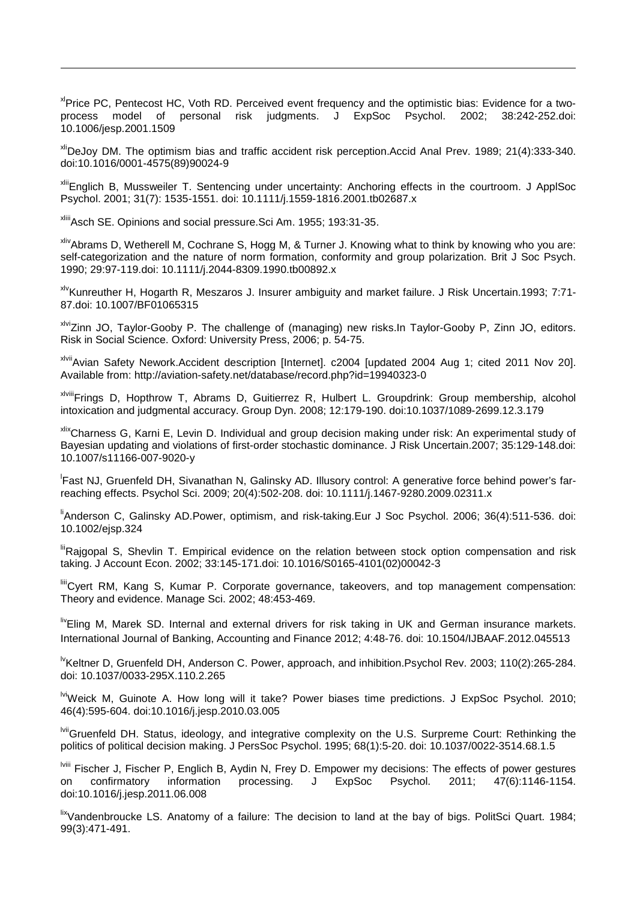<span id="page-26-6"></span><sup>x|</sup>Price PC, Pentecost HC, Voth RD. Perceived event frequency and the optimistic bias: Evidence for a twoprocess model of personal risk judgments. J ExpSoc Psychol. 2002; 38:242-252.doi: 10.1006/jesp.2001.1509

<span id="page-26-7"></span>xliDeJoy DM. The optimism bias and traffic accident risk perception.Accid Anal Prev. 1989; 21(4):333-340. doi:10.1016/0001-4575(89)90024-9

<span id="page-26-8"></span>xliiEnglich B, Mussweiler T. Sentencing under uncertainty: Anchoring effects in the courtroom. J ApplSoc Psychol. 2001; 31(7): 1535-1551. doi: 10.1111/j.1559-1816.2001.tb02687.x

xliiiAsch SE. Opinions and social pressure.Sci Am. 1955; 193:31-35.

-

xlivAbrams D, Wetherell M, Cochrane S, Hogg M, & Turner J. Knowing what to think by knowing who you are: self-categorization and the nature of norm formation, conformity and group polarization. Brit J Soc Psych. 1990; 29:97-119.doi: 10.1111/j.2044-8309.1990.tb00892.x

<sup>xiv</sup>Kunreuther H, Hogarth R, Meszaros J. Insurer ambiguity and market failure. J Risk Uncertain.1993; 7:71-87.doi: 10.1007/BF01065315

xlviZinn JO, Taylor-Gooby P. The challenge of (managing) new risks.In Taylor-Gooby P, Zinn JO, editors. Risk in Social Science. Oxford: University Press, 2006; p. 54-75.

xlviiAvian Safety Nework.Accident description [Internet]. c2004 [updated 2004 Aug 1; cited 2011 Nov 20]. Available from: http://aviation-safety.net/database/record.php?id=19940323-0

xlviiiFrings D, Hopthrow T, Abrams D, Guitierrez R, Hulbert L. Groupdrink: Group membership, alcohol intoxication and judgmental accuracy. Group Dyn. 2008; 12:179-190. doi:10.1037/1089-2699.12.3.179

xlixCharness G, Karni E, Levin D. Individual and group decision making under risk: An experimental study of Bayesian updating and violations of first-order stochastic dominance. J Risk Uncertain.2007; 35:129-148.doi: 10.1007/s11166-007-9020-y

l Fast NJ, Gruenfeld DH, Sivanathan N, Galinsky AD. Illusory control: A generative force behind power's farreaching effects. Psychol Sci. 2009; 20(4):502-208. doi: 10.1111/j.1467-9280.2009.02311.x

<sup>li</sup>Anderson C, Galinsky AD.Power, optimism, and risk-taking.Eur J Soc Psychol. 2006; 36(4):511-536. doi: 10.1002/ejsp.324

liiRajgopal S, Shevlin T. Empirical evidence on the relation between stock option compensation and risk taking. J Account Econ. 2002; 33:145-171.doi: 10.1016/S0165-4101(02)00042-3

liiiCyert RM, Kang S, Kumar P. Corporate governance, takeovers, and top management compensation: Theory and evidence. Manage Sci. 2002; 48:453-469.

<span id="page-26-0"></span>livEling M, Marek SD. Internal and external drivers for risk taking in UK and German insurance markets. International Journal of Banking, Accounting and Finance 2012; 4:48-76. doi: 10.1504/IJBAAF.2012.045513

<span id="page-26-1"></span><sup>lv</sup>Keltner D, Gruenfeld DH, Anderson C. Power, approach, and inhibition.Psychol Rev. 2003; 110(2):265-284. doi: 10.1037/0033-295X.110.2.265

<sup>Ivi</sup>Weick M, Guinote A. How long will it take? Power biases time predictions. J ExpSoc Psychol. 2010; 46(4):595-604. doi:10.1016/j.jesp.2010.03.005

<span id="page-26-2"></span>lviiGruenfeld DH. Status, ideology, and integrative complexity on the U.S. Surpreme Court: Rethinking the politics of political decision making. J PersSoc Psychol. 1995; 68(1):5-20. doi: 10.1037/0022-3514.68.1.5

<span id="page-26-4"></span><span id="page-26-3"></span>lviii Fischer J, Fischer P, Englich B, Aydin N, Frey D. Empower my decisions: The effects of power gestures on confirmatory information processing. J ExpSoc Psychol. 2011; 47(6):1146-1154. doi:10.1016/j.jesp.2011.06.008

<span id="page-26-5"></span>lixVandenbroucke LS. Anatomy of a failure: The decision to land at the bay of bigs. PolitSci Quart. 1984; 99(3):471-491.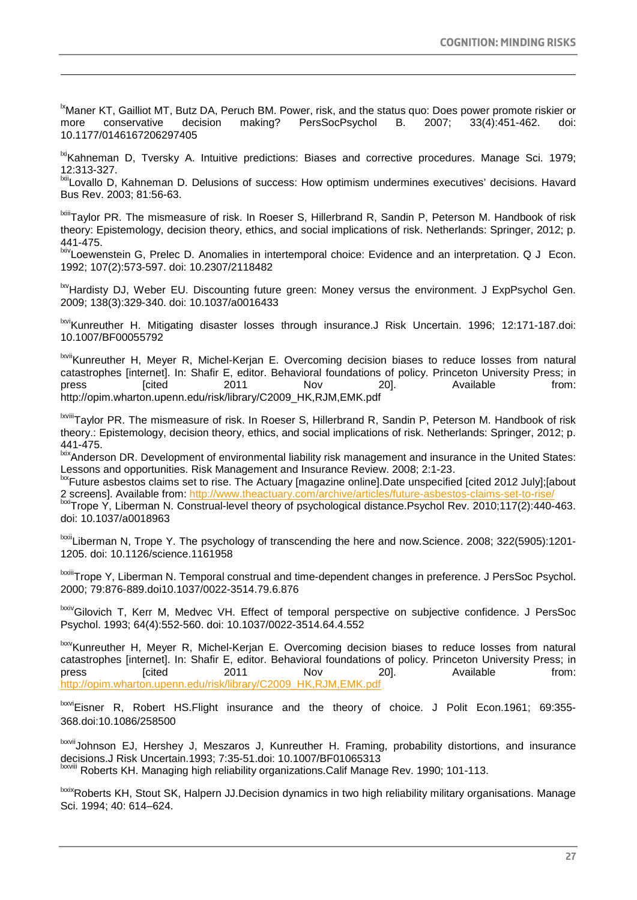<span id="page-27-37"></span><span id="page-27-18"></span><sup>1x</sup>Maner KT, Gailliot MT, Butz DA, Peruch BM. Power, risk, and the status quo: Does power promote riskier or more conservative decision making? PersSocPsychol B. 2007; 33(4):451-462. doi: 10.1177/0146167206297405

-

<span id="page-27-54"></span><span id="page-27-38"></span><span id="page-27-19"></span><sup>Ixi</sup>Kahneman D, Tversky A. Intuitive predictions: Biases and corrective procedures. Manage Sci. 1979; 12:313-327.

<span id="page-27-55"></span><span id="page-27-39"></span><span id="page-27-20"></span><sup>Ixii</sup>Lovallo D, Kahneman D. Delusions of success: How optimism undermines executives' decisions. Havard Bus Rev. 2003; 81:56-63.

<span id="page-27-56"></span><span id="page-27-40"></span><span id="page-27-21"></span><span id="page-27-0"></span>lxiiiTaylor PR. The mismeasure of risk. In Roeser S, Hillerbrand R, Sandin P, Peterson M. Handbook of risk theory: Epistemology, decision theory, ethics, and social implications of risk. Netherlands: Springer, 2012; p. 441-475.

<span id="page-27-57"></span><span id="page-27-41"></span><span id="page-27-22"></span><span id="page-27-1"></span><sup>Ixiv</sup>Loewenstein G. Prelec D. Anomalies in intertemporal choice: Evidence and an interpretation. Q J Econ. 1992; 107(2):573-597. doi: 10.2307/2118482

<span id="page-27-23"></span><span id="page-27-2"></span><sup>Ixv</sup>Hardisty DJ, Weber EU. Discounting future green: Money versus the environment. J ExpPsychol Gen. 2009; 138(3):329-340. doi: 10.1037/a0016433

<span id="page-27-58"></span><span id="page-27-42"></span><span id="page-27-24"></span><span id="page-27-3"></span><sup>Ixvi</sup>Kunreuther H. Mitigating disaster losses through insurance.J Risk Uncertain. 1996; 12:171-187.doi: 10.1007/BF00055792

<span id="page-27-43"></span><span id="page-27-25"></span><span id="page-27-5"></span><span id="page-27-4"></span><sup>Ixvii</sup>Kunreuther H. Meyer R, Michel-Kerjan E. Overcoming decision biases to reduce losses from natural catastrophes [internet]. In: Shafir E, editor. Behavioral foundations of policy. Princeton University Press; in press [cited 2011 Nov 20]. Available from: http://opim.wharton.upenn.edu/risk/library/C2009\_HK,RJM,EMK.pdf

<span id="page-27-44"></span><span id="page-27-27"></span><span id="page-27-26"></span><span id="page-27-6"></span>IxviiiTavlor PR. The mismeasure of risk. In Roeser S, Hillerbrand R, Sandin P, Peterson M. Handbook of risk theory.: Epistemology, decision theory, ethics, and social implications of risk. Netherlands: Springer, 2012; p. 441-475.

<span id="page-27-45"></span><span id="page-27-7"></span>**xx**1-473.<br><sup>kix</sup>Anderson DR. Development of environmental liability risk management and insurance in the United States: Lessons and opportunities. Risk Management and Insurance Review. 2008; 2:1-23.

<span id="page-27-46"></span><span id="page-27-28"></span><sup>Ixx</sup>Future asbestos claims set to rise. The Actuary [magazine online].Date unspecified [cited 2012 July];[about 2 screens]. Available from: http://www.theactuary.com/archive/articles/future-asbestos-claims-set-to-rise

<span id="page-27-47"></span><span id="page-27-29"></span><span id="page-27-8"></span>lxxiTrope Y, Liberman N. Construal-level theory of psychological distance.Psychol Rev. 2010;117(2):440-463. doi: 10.1037/a0018963

<span id="page-27-30"></span><span id="page-27-9"></span><sup>Ixxii</sup>Liberman N, Trope Y. The psychology of transcending the here and now.Science. 2008; 322(5905):1201-1205. doi: 10.1126/science.1161958

<span id="page-27-48"></span><span id="page-27-31"></span><span id="page-27-10"></span>IXXIIITrope Y, Liberman N. Temporal construal and time-dependent changes in preference. J PersSoc Psychol. 2000; 79:876-889.doi10.1037/0022-3514.79.6.876

<span id="page-27-49"></span><span id="page-27-32"></span><span id="page-27-11"></span>lxxivGilovich T, Kerr M, Medvec VH. Effect of temporal perspective on subjective confidence. J PersSoc Psychol. 1993; 64(4):552-560. doi: 10.1037/0022-3514.64.4.552

<span id="page-27-50"></span><span id="page-27-33"></span><span id="page-27-12"></span>lxxv Kunreuther H, Meyer R, Michel-Kerjan E. Overcoming decision biases to reduce losses from natural catastrophes [internet]. In: Shafir E, editor. Behavioral foundations of policy. Princeton University Press; in press [cited 2011 Nov 20]. Available from: [http://opim.wharton.upenn.edu/risk/library/C2009\\_HK,RJM,EMK.pdf](http://opim.wharton.upenn.edu/risk/library/C2009_HK,RJM,EMK.pdf)

<span id="page-27-51"></span><span id="page-27-34"></span><span id="page-27-14"></span><span id="page-27-13"></span><sup>Ixxvi</sup>Eisner R, Robert HS.Flight insurance and the theory of choice. J Polit Econ.1961; 69:355-368.doi:10.1086/258500

<span id="page-27-35"></span><span id="page-27-15"></span>lxxvii Johnson EJ, Hershey J, Meszaros J, Kunreuther H. Framing, probability distortions, and insurance decisions.J Risk Uncertain.1993; 7:35-51.doi: 10.1007/BF01065313 lxxviii Roberts KH. Managing high reliability organizations.Calif Manage Rev. 1990; 101-113.

<span id="page-27-53"></span><span id="page-27-52"></span><span id="page-27-36"></span><span id="page-27-17"></span><span id="page-27-16"></span><sup>Ixxix</sup>Roberts KH, Stout SK, Halpern JJ.Decision dynamics in two high reliability military organisations. Manage Sci. 1994; 40: 614–624.